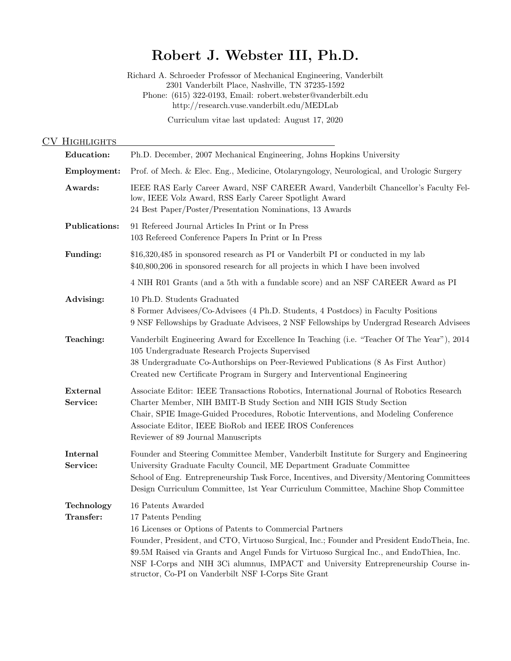# Robert J. Webster III, Ph.D.

Richard A. Schroeder Professor of Mechanical Engineering, Vanderbilt 2301 Vanderbilt Place, Nashville, TN 37235-1592 Phone: (615) 322-0193, Email: robert.webster@vanderbilt.edu http://research.vuse.vanderbilt.edu/MEDLab Curriculum vitae last updated: August 17, 2020

## CV HIGHLIGHTS

| <b>Education:</b>       | Ph.D. December, 2007 Mechanical Engineering, Johns Hopkins University                                                                                                                                                                                                                                                                                                                                                                         |
|-------------------------|-----------------------------------------------------------------------------------------------------------------------------------------------------------------------------------------------------------------------------------------------------------------------------------------------------------------------------------------------------------------------------------------------------------------------------------------------|
| Employment:             | Prof. of Mech. & Elec. Eng., Medicine, Otolaryngology, Neurological, and Urologic Surgery                                                                                                                                                                                                                                                                                                                                                     |
| Awards:                 | IEEE RAS Early Career Award, NSF CAREER Award, Vanderbilt Chancellor's Faculty Fel-<br>low, IEEE Volz Award, RSS Early Career Spotlight Award<br>24 Best Paper/Poster/Presentation Nominations, 13 Awards                                                                                                                                                                                                                                     |
| <b>Publications:</b>    | 91 Refereed Journal Articles In Print or In Press<br>103 Refereed Conference Papers In Print or In Press                                                                                                                                                                                                                                                                                                                                      |
| Funding:                | \$16,320,485 in sponsored research as PI or Vanderbilt PI or conducted in my lab<br>\$40,800,206 in sponsored research for all projects in which I have been involved                                                                                                                                                                                                                                                                         |
|                         | 4 NIH R01 Grants (and a 5th with a fundable score) and an NSF CAREER Award as PI                                                                                                                                                                                                                                                                                                                                                              |
| Advising:               | 10 Ph.D. Students Graduated<br>8 Former Advisees/Co-Advisees (4 Ph.D. Students, 4 Postdocs) in Faculty Positions<br>9 NSF Fellowships by Graduate Advisees, 2 NSF Fellowships by Undergrad Research Advisees                                                                                                                                                                                                                                  |
| Teaching:               | Vanderbilt Engineering Award for Excellence In Teaching (i.e. "Teacher Of The Year"), 2014<br>105 Undergraduate Research Projects Supervised<br>38 Undergraduate Co-Authorships on Peer-Reviewed Publications (8 As First Author)<br>Created new Certificate Program in Surgery and Interventional Engineering                                                                                                                                |
| External<br>Service:    | Associate Editor: IEEE Transactions Robotics, International Journal of Robotics Research<br>Charter Member, NIH BMIT-B Study Section and NIH IGIS Study Section<br>Chair, SPIE Image-Guided Procedures, Robotic Interventions, and Modeling Conference<br>Associate Editor, IEEE BioRob and IEEE IROS Conferences<br>Reviewer of 89 Journal Manuscripts                                                                                       |
| Internal<br>Service:    | Founder and Steering Committee Member, Vanderbilt Institute for Surgery and Engineering<br>University Graduate Faculty Council, ME Department Graduate Committee<br>School of Eng. Entrepreneurship Task Force, Incentives, and Diversity/Mentoring Committees<br>Design Curriculum Committee, 1st Year Curriculum Committee, Machine Shop Committee                                                                                          |
| Technology<br>Transfer: | 16 Patents Awarded<br>17 Patents Pending<br>16 Licenses or Options of Patents to Commercial Partners<br>Founder, President, and CTO, Virtuoso Surgical, Inc.; Founder and President EndoTheia, Inc.<br>\$9.5M Raised via Grants and Angel Funds for Virtuoso Surgical Inc., and EndoThiea, Inc.<br>NSF I-Corps and NIH 3Ci alumnus, IMPACT and University Entrepreneurship Course in-<br>structor, Co-PI on Vanderbilt NSF I-Corps Site Grant |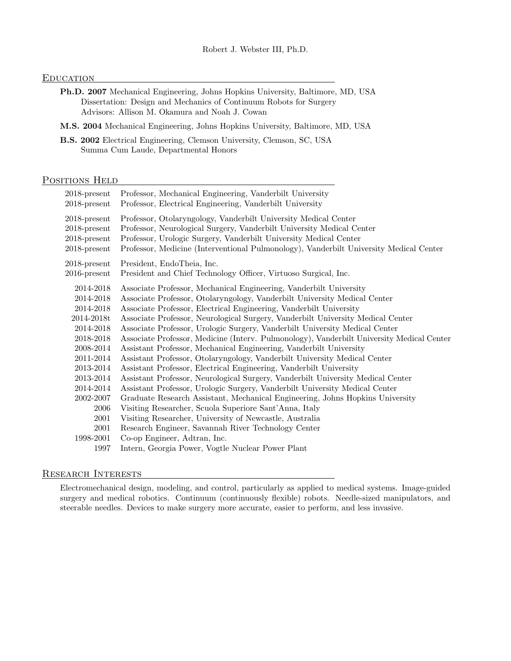## **EDUCATION**

- Ph.D. 2007 Mechanical Engineering, Johns Hopkins University, Baltimore, MD, USA Dissertation: Design and Mechanics of Continuum Robots for Surgery Advisors: Allison M. Okamura and Noah J. Cowan
- M.S. 2004 Mechanical Engineering, Johns Hopkins University, Baltimore, MD, USA
- B.S. 2002 Electrical Engineering, Clemson University, Clemson, SC, USA Summa Cum Laude, Departmental Honors

## POSITIONS HELD

| $2018$ -present | Professor, Mechanical Engineering, Vanderbilt University                                  |
|-----------------|-------------------------------------------------------------------------------------------|
| $2018$ -present | Professor, Electrical Engineering, Vanderbilt University                                  |
| $2018$ -present | Professor, Otolaryngology, Vanderbilt University Medical Center                           |
| $2018$ -present | Professor, Neurological Surgery, Vanderbilt University Medical Center                     |
| $2018$ -present | Professor, Urologic Surgery, Vanderbilt University Medical Center                         |
| $2018$ -present | Professor, Medicine (Interventional Pulmonology), Vanderbilt University Medical Center    |
| $2018$ -present | President, EndoTheia, Inc.                                                                |
| $2016$ -present | President and Chief Technology Officer, Virtuoso Surgical, Inc.                           |
| 2014-2018       | Associate Professor, Mechanical Engineering, Vanderbilt University                        |
| 2014-2018       | Associate Professor, Otolaryngology, Vanderbilt University Medical Center                 |
| 2014-2018       | Associate Professor, Electrical Engineering, Vanderbilt University                        |
| 2014-2018t      | Associate Professor, Neurological Surgery, Vanderbilt University Medical Center           |
| 2014-2018       | Associate Professor, Urologic Surgery, Vanderbilt University Medical Center               |
| 2018-2018       | Associate Professor, Medicine (Interv. Pulmonology), Vanderbilt University Medical Center |
| 2008-2014       | Assistant Professor, Mechanical Engineering, Vanderbilt University                        |
| 2011-2014       | Assistant Professor, Otolaryngology, Vanderbilt University Medical Center                 |
| 2013-2014       | Assistant Professor, Electrical Engineering, Vanderbilt University                        |
| 2013-2014       | Assistant Professor, Neurological Surgery, Vanderbilt University Medical Center           |
| 2014-2014       | Assistant Professor, Urologic Surgery, Vanderbilt University Medical Center               |
| 2002-2007       | Graduate Research Assistant, Mechanical Engineering, Johns Hopkins University             |
| 2006            | Visiting Researcher, Scuola Superiore Sant'Anna, Italy                                    |
| 2001            | Visiting Researcher, University of Newcastle, Australia                                   |
| 2001            | Research Engineer, Savannah River Technology Center                                       |
| 1998-2001       | Co-op Engineer, Adtran, Inc.                                                              |
| 1997            | Intern, Georgia Power, Vogtle Nuclear Power Plant                                         |
|                 |                                                                                           |

## Research Interests

Electromechanical design, modeling, and control, particularly as applied to medical systems. Image-guided surgery and medical robotics. Continuum (continuously flexible) robots. Needle-sized manipulators, and steerable needles. Devices to make surgery more accurate, easier to perform, and less invasive.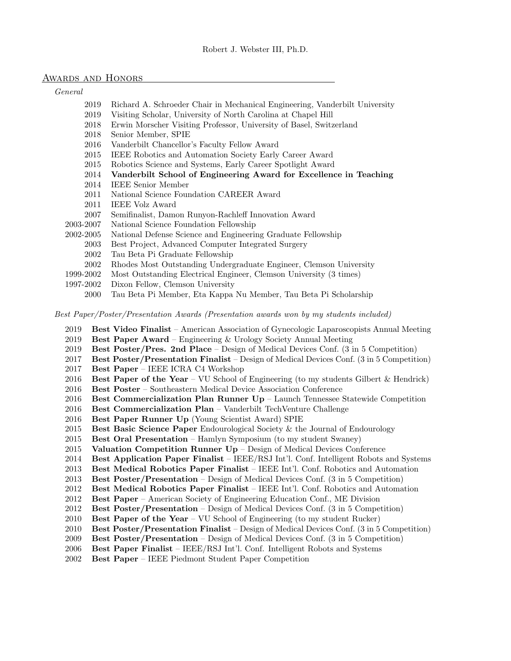## AWARDS AND HONORS

General

- 2019 Richard A. Schroeder Chair in Mechanical Engineering, Vanderbilt University
- 2019 Visiting Scholar, University of North Carolina at Chapel Hill
- 2018 Erwin Morscher Visiting Professor, University of Basel, Switzerland
- 2018 Senior Member, SPIE
- 2016 Vanderbilt Chancellor's Faculty Fellow Award
- 2015 IEEE Robotics and Automation Society Early Career Award
- 2015 Robotics Science and Systems, Early Career Spotlight Award
- 2014 Vanderbilt School of Engineering Award for Excellence in Teaching
- 2014 IEEE Senior Member
- 2011 National Science Foundation CAREER Award
- 2011 IEEE Volz Award
- 2007 Semifinalist, Damon Runyon-Rachleff Innovation Award
- 2003-2007 National Science Foundation Fellowship
- 2002-2005 National Defense Science and Engineering Graduate Fellowship
	- 2003 Best Project, Advanced Computer Integrated Surgery
	- 2002 Tau Beta Pi Graduate Fellowship
	- 2002 Rhodes Most Outstanding Undergraduate Engineer, Clemson University
- 1999-2002 Most Outstanding Electrical Engineer, Clemson University (3 times)
- 1997-2002 Dixon Fellow, Clemson University
	- 2000 Tau Beta Pi Member, Eta Kappa Nu Member, Tau Beta Pi Scholarship

Best Paper/Poster/Presentation Awards (Presentation awards won by my students included)

- 2019 Best Video Finalist American Association of Gynecologic Laparoscopists Annual Meeting
- 2019 Best Paper Award Engineering & Urology Society Annual Meeting
- 2019 Best Poster/Pres. 2nd Place Design of Medical Devices Conf. (3 in 5 Competition)
- 2017 Best Poster/Presentation Finalist Design of Medical Devices Conf. (3 in 5 Competition)
- 2017 Best Paper IEEE ICRA C4 Workshop
- 2016 Best Paper of the Year VU School of Engineering (to my students Gilbert & Hendrick)
- 2016 Best Poster Southeastern Medical Device Association Conference
- 2016 Best Commercialization Plan Runner Up Launch Tennessee Statewide Competition
- 2016 Best Commercialization Plan Vanderbilt TechVenture Challenge
- 2016 Best Paper Runner Up (Young Scientist Award) SPIE
- 2015 Best Basic Science Paper Endourological Society & the Journal of Endourology
- 2015 Best Oral Presentation Hamlyn Symposium (to my student Swaney)
- 2015 Valuation Competition Runner  $Up -$  Design of Medical Devices Conference
- 2014 Best Application Paper Finalist IEEE/RSJ Int'l. Conf. Intelligent Robots and Systems
- 2013 Best Medical Robotics Paper Finalist IEEE Int'l. Conf. Robotics and Automation
- 2013 Best Poster/Presentation Design of Medical Devices Conf. (3 in 5 Competition)
- 2012 Best Medical Robotics Paper Finalist IEEE Int'l. Conf. Robotics and Automation
- 2012 Best Paper American Society of Engineering Education Conf., ME Division
- 2012 Best Poster/Presentation Design of Medical Devices Conf. (3 in 5 Competition)
- 2010 Best Paper of the Year VU School of Engineering (to my student Rucker)
- 2010 Best Poster/Presentation Finalist Design of Medical Devices Conf. (3 in 5 Competition)
- 2009 Best Poster/Presentation Design of Medical Devices Conf. (3 in 5 Competition)
- 2006 Best Paper Finalist IEEE/RSJ Int'l. Conf. Intelligent Robots and Systems
- 2002 Best Paper IEEE Piedmont Student Paper Competition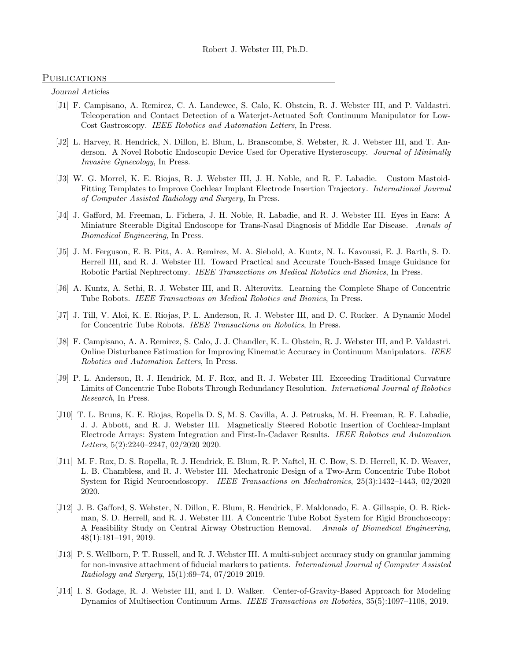## **PUBLICATIONS**

Journal Articles

- [J1] F. Campisano, A. Remirez, C. A. Landewee, S. Calo, K. Obstein, R. J. Webster III, and P. Valdastri. Teleoperation and Contact Detection of a Waterjet-Actuated Soft Continuum Manipulator for Low-Cost Gastroscopy. IEEE Robotics and Automation Letters, In Press.
- [J2] L. Harvey, R. Hendrick, N. Dillon, E. Blum, L. Branscombe, S. Webster, R. J. Webster III, and T. Anderson. A Novel Robotic Endoscopic Device Used for Operative Hysteroscopy. Journal of Minimally Invasive Gynecology, In Press.
- [J3] W. G. Morrel, K. E. Riojas, R. J. Webster III, J. H. Noble, and R. F. Labadie. Custom Mastoid-Fitting Templates to Improve Cochlear Implant Electrode Insertion Trajectory. International Journal of Computer Assisted Radiology and Surgery, In Press.
- [J4] J. Gafford, M. Freeman, L. Fichera, J. H. Noble, R. Labadie, and R. J. Webster III. Eyes in Ears: A Miniature Steerable Digital Endoscope for Trans-Nasal Diagnosis of Middle Ear Disease. Annals of Biomedical Engineering, In Press.
- [J5] J. M. Ferguson, E. B. Pitt, A. A. Remirez, M. A. Siebold, A. Kuntz, N. L. Kavoussi, E. J. Barth, S. D. Herrell III, and R. J. Webster III. Toward Practical and Accurate Touch-Based Image Guidance for Robotic Partial Nephrectomy. IEEE Transactions on Medical Robotics and Bionics, In Press.
- [J6] A. Kuntz, A. Sethi, R. J. Webster III, and R. Alterovitz. Learning the Complete Shape of Concentric Tube Robots. IEEE Transactions on Medical Robotics and Bionics, In Press.
- [J7] J. Till, V. Aloi, K. E. Riojas, P. L. Anderson, R. J. Webster III, and D. C. Rucker. A Dynamic Model for Concentric Tube Robots. IEEE Transactions on Robotics, In Press.
- [J8] F. Campisano, A. A. Remirez, S. Calo, J. J. Chandler, K. L. Obstein, R. J. Webster III, and P. Valdastri. Online Disturbance Estimation for Improving Kinematic Accuracy in Continuum Manipulators. IEEE Robotics and Automation Letters, In Press.
- [J9] P. L. Anderson, R. J. Hendrick, M. F. Rox, and R. J. Webster III. Exceeding Traditional Curvature Limits of Concentric Tube Robots Through Redundancy Resolution. International Journal of Robotics Research, In Press.
- [J10] T. L. Bruns, K. E. Riojas, Ropella D. S, M. S. Cavilla, A. J. Petruska, M. H. Freeman, R. F. Labadie, J. J. Abbott, and R. J. Webster III. Magnetically Steered Robotic Insertion of Cochlear-Implant Electrode Arrays: System Integration and First-In-Cadaver Results. IEEE Robotics and Automation Letters, 5(2):2240–2247, 02/2020 2020.
- [J11] M. F. Rox, D. S. Ropella, R. J. Hendrick, E. Blum, R. P. Naftel, H. C. Bow, S. D. Herrell, K. D. Weaver, L. B. Chambless, and R. J. Webster III. Mechatronic Design of a Two-Arm Concentric Tube Robot System for Rigid Neuroendoscopy. IEEE Transactions on Mechatronics, 25(3):1432–1443, 02/2020 2020.
- [J12] J. B. Gafford, S. Webster, N. Dillon, E. Blum, R. Hendrick, F. Maldonado, E. A. Gillaspie, O. B. Rickman, S. D. Herrell, and R. J. Webster III. A Concentric Tube Robot System for Rigid Bronchoscopy: A Feasibility Study on Central Airway Obstruction Removal. Annals of Biomedical Engineering, 48(1):181–191, 2019.
- [J13] P. S. Wellborn, P. T. Russell, and R. J. Webster III. A multi-subject accuracy study on granular jamming for non-invasive attachment of fiducial markers to patients. International Journal of Computer Assisted Radiology and Surgery, 15(1):69–74, 07/2019 2019.
- [J14] I. S. Godage, R. J. Webster III, and I. D. Walker. Center-of-Gravity-Based Approach for Modeling Dynamics of Multisection Continuum Arms. IEEE Transactions on Robotics, 35(5):1097–1108, 2019.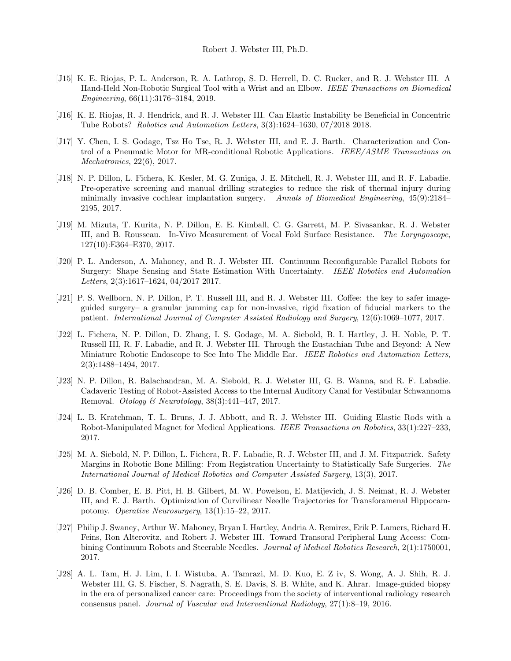- [J15] K. E. Riojas, P. L. Anderson, R. A. Lathrop, S. D. Herrell, D. C. Rucker, and R. J. Webster III. A Hand-Held Non-Robotic Surgical Tool with a Wrist and an Elbow. IEEE Transactions on Biomedical Engineering, 66(11):3176–3184, 2019.
- [J16] K. E. Riojas, R. J. Hendrick, and R. J. Webster III. Can Elastic Instability be Beneficial in Concentric Tube Robots? Robotics and Automation Letters, 3(3):1624–1630, 07/2018 2018.
- [J17] Y. Chen, I. S. Godage, Tsz Ho Tse, R. J. Webster III, and E. J. Barth. Characterization and Control of a Pneumatic Motor for MR-conditional Robotic Applications. IEEE/ASME Transactions on Mechatronics, 22(6), 2017.
- [J18] N. P. Dillon, L. Fichera, K. Kesler, M. G. Zuniga, J. E. Mitchell, R. J. Webster III, and R. F. Labadie. Pre-operative screening and manual drilling strategies to reduce the risk of thermal injury during minimally invasive cochlear implantation surgery. Annals of Biomedical Engineering, 45(9):2184– 2195, 2017.
- [J19] M. Mizuta, T. Kurita, N. P. Dillon, E. E. Kimball, C. G. Garrett, M. P. Sivasankar, R. J. Webster III, and B. Rousseau. In-Vivo Measurement of Vocal Fold Surface Resistance. The Laryngoscope, 127(10):E364–E370, 2017.
- [J20] P. L. Anderson, A. Mahoney, and R. J. Webster III. Continuum Reconfigurable Parallel Robots for Surgery: Shape Sensing and State Estimation With Uncertainty. IEEE Robotics and Automation Letters, 2(3):1617–1624, 04/2017 2017.
- [J21] P. S. Wellborn, N. P. Dillon, P. T. Russell III, and R. J. Webster III. Coffee: the key to safer imageguided surgery– a granular jamming cap for non-invasive, rigid fixation of fiducial markers to the patient. International Journal of Computer Assisted Radiology and Surgery, 12(6):1069–1077, 2017.
- [J22] L. Fichera, N. P. Dillon, D. Zhang, I. S. Godage, M. A. Siebold, B. I. Hartley, J. H. Noble, P. T. Russell III, R. F. Labadie, and R. J. Webster III. Through the Eustachian Tube and Beyond: A New Miniature Robotic Endoscope to See Into The Middle Ear. IEEE Robotics and Automation Letters, 2(3):1488–1494, 2017.
- [J23] N. P. Dillon, R. Balachandran, M. A. Siebold, R. J. Webster III, G. B. Wanna, and R. F. Labadie. Cadaveric Testing of Robot-Assisted Access to the Internal Auditory Canal for Vestibular Schwannoma Removal. Otology & Neurotology, 38(3):441–447, 2017.
- [J24] L. B. Kratchman, T. L. Bruns, J. J. Abbott, and R. J. Webster III. Guiding Elastic Rods with a Robot-Manipulated Magnet for Medical Applications. IEEE Transactions on Robotics, 33(1):227–233, 2017.
- [J25] M. A. Siebold, N. P. Dillon, L. Fichera, R. F. Labadie, R. J. Webster III, and J. M. Fitzpatrick. Safety Margins in Robotic Bone Milling: From Registration Uncertainty to Statistically Safe Surgeries. The International Journal of Medical Robotics and Computer Assisted Surgery, 13(3), 2017.
- [J26] D. B. Comber, E. B. Pitt, H. B. Gilbert, M. W. Powelson, E. Matijevich, J. S. Neimat, R. J. Webster III, and E. J. Barth. Optimization of Curvilinear Needle Trajectories for Transforamenal Hippocampotomy. Operative Neurosurgery, 13(1):15–22, 2017.
- [J27] Philip J. Swaney, Arthur W. Mahoney, Bryan I. Hartley, Andria A. Remirez, Erik P. Lamers, Richard H. Feins, Ron Alterovitz, and Robert J. Webster III. Toward Transoral Peripheral Lung Access: Combining Continuum Robots and Steerable Needles. Journal of Medical Robotics Research, 2(1):1750001, 2017.
- [J28] A. L. Tam, H. J. Lim, I. I. Wistuba, A. Tamrazi, M. D. Kuo, E. Z iv, S. Wong, A. J. Shih, R. J. Webster III, G. S. Fischer, S. Nagrath, S. E. Davis, S. B. White, and K. Ahrar. Image-guided biopsy in the era of personalized cancer care: Proceedings from the society of interventional radiology research consensus panel. Journal of Vascular and Interventional Radiology, 27(1):8–19, 2016.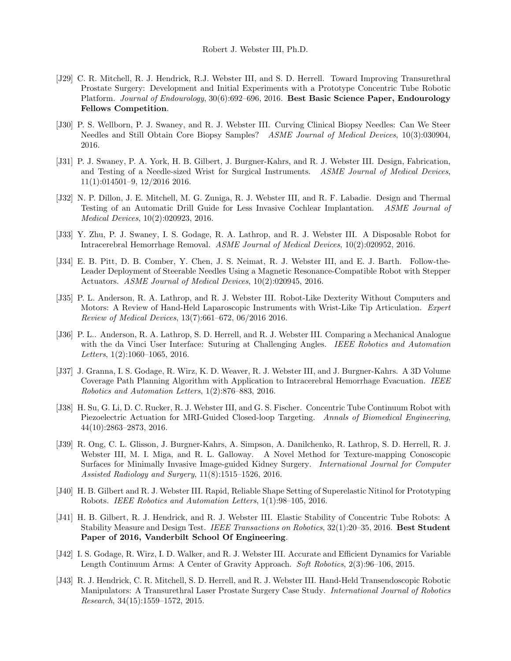- [J29] C. R. Mitchell, R. J. Hendrick, R.J. Webster III, and S. D. Herrell. Toward Improving Transurethral Prostate Surgery: Development and Initial Experiments with a Prototype Concentric Tube Robotic Platform. Journal of Endourology, 30(6):692–696, 2016. Best Basic Science Paper, Endourology Fellows Competition.
- [J30] P. S. Wellborn, P. J. Swaney, and R. J. Webster III. Curving Clinical Biopsy Needles: Can We Steer Needles and Still Obtain Core Biopsy Samples? ASME Journal of Medical Devices, 10(3):030904, 2016.
- [J31] P. J. Swaney, P. A. York, H. B. Gilbert, J. Burgner-Kahrs, and R. J. Webster III. Design, Fabrication, and Testing of a Needle-sized Wrist for Surgical Instruments. ASME Journal of Medical Devices, 11(1):014501–9, 12/2016 2016.
- [J32] N. P. Dillon, J. E. Mitchell, M. G. Zuniga, R. J. Webster III, and R. F. Labadie. Design and Thermal Testing of an Automatic Drill Guide for Less Invasive Cochlear Implantation. ASME Journal of Medical Devices, 10(2):020923, 2016.
- [J33] Y. Zhu, P. J. Swaney, I. S. Godage, R. A. Lathrop, and R. J. Webster III. A Disposable Robot for Intracerebral Hemorrhage Removal. ASME Journal of Medical Devices, 10(2):020952, 2016.
- [J34] E. B. Pitt, D. B. Comber, Y. Chen, J. S. Neimat, R. J. Webster III, and E. J. Barth. Follow-the-Leader Deployment of Steerable Needles Using a Magnetic Resonance-Compatible Robot with Stepper Actuators. ASME Journal of Medical Devices, 10(2):020945, 2016.
- [J35] P. L. Anderson, R. A. Lathrop, and R. J. Webster III. Robot-Like Dexterity Without Computers and Motors: A Review of Hand-Held Laparoscopic Instruments with Wrist-Like Tip Articulation. Expert Review of Medical Devices, 13(7):661–672, 06/2016 2016.
- [J36] P. L.. Anderson, R. A. Lathrop, S. D. Herrell, and R. J. Webster III. Comparing a Mechanical Analogue with the da Vinci User Interface: Suturing at Challenging Angles. IEEE Robotics and Automation Letters, 1(2):1060–1065, 2016.
- [J37] J. Granna, I. S. Godage, R. Wirz, K. D. Weaver, R. J. Webster III, and J. Burgner-Kahrs. A 3D Volume Coverage Path Planning Algorithm with Application to Intracerebral Hemorrhage Evacuation. IEEE Robotics and Automation Letters, 1(2):876–883, 2016.
- [J38] H. Su, G. Li, D. C. Rucker, R. J. Webster III, and G. S. Fischer. Concentric Tube Continuum Robot with Piezoelectric Actuation for MRI-Guided Closed-loop Targeting. Annals of Biomedical Engineering, 44(10):2863–2873, 2016.
- [J39] R. Ong, C. L. Glisson, J. Burgner-Kahrs, A. Simpson, A. Danilchenko, R. Lathrop, S. D. Herrell, R. J. Webster III, M. I. Miga, and R. L. Galloway. A Novel Method for Texture-mapping Conoscopic Surfaces for Minimally Invasive Image-guided Kidney Surgery. International Journal for Computer Assisted Radiology and Surgery, 11(8):1515–1526, 2016.
- [J40] H. B. Gilbert and R. J. Webster III. Rapid, Reliable Shape Setting of Superelastic Nitinol for Prototyping Robots. IEEE Robotics and Automation Letters, 1(1):98–105, 2016.
- [J41] H. B. Gilbert, R. J. Hendrick, and R. J. Webster III. Elastic Stability of Concentric Tube Robots: A Stability Measure and Design Test. IEEE Transactions on Robotics, 32(1):20–35, 2016. Best Student Paper of 2016, Vanderbilt School Of Engineering.
- [J42] I. S. Godage, R. Wirz, I. D. Walker, and R. J. Webster III. Accurate and Efficient Dynamics for Variable Length Continuum Arms: A Center of Gravity Approach. Soft Robotics, 2(3):96–106, 2015.
- [J43] R. J. Hendrick, C. R. Mitchell, S. D. Herrell, and R. J. Webster III. Hand-Held Transendoscopic Robotic Manipulators: A Transurethral Laser Prostate Surgery Case Study. International Journal of Robotics Research, 34(15):1559–1572, 2015.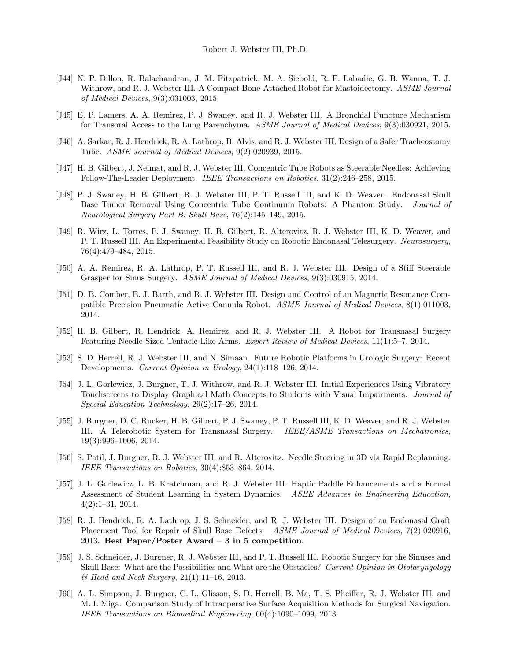- [J44] N. P. Dillon, R. Balachandran, J. M. Fitzpatrick, M. A. Siebold, R. F. Labadie, G. B. Wanna, T. J. Withrow, and R. J. Webster III. A Compact Bone-Attached Robot for Mastoidectomy. ASME Journal of Medical Devices, 9(3):031003, 2015.
- [J45] E. P. Lamers, A. A. Remirez, P. J. Swaney, and R. J. Webster III. A Bronchial Puncture Mechanism for Transoral Access to the Lung Parenchyma. ASME Journal of Medical Devices, 9(3):030921, 2015.
- [J46] A. Sarkar, R. J. Hendrick, R. A. Lathrop, B. Alvis, and R. J. Webster III. Design of a Safer Tracheostomy Tube. ASME Journal of Medical Devices, 9(2):020939, 2015.
- [J47] H. B. Gilbert, J. Neimat, and R. J. Webster III. Concentric Tube Robots as Steerable Needles: Achieving Follow-The-Leader Deployment. IEEE Transactions on Robotics, 31(2):246–258, 2015.
- [J48] P. J. Swaney, H. B. Gilbert, R. J. Webster III, P. T. Russell III, and K. D. Weaver. Endonasal Skull Base Tumor Removal Using Concentric Tube Continuum Robots: A Phantom Study. Journal of Neurological Surgery Part B: Skull Base, 76(2):145–149, 2015.
- [J49] R. Wirz, L. Torres, P. J. Swaney, H. B. Gilbert, R. Alterovitz, R. J. Webster III, K. D. Weaver, and P. T. Russell III. An Experimental Feasibility Study on Robotic Endonasal Telesurgery. Neurosurgery, 76(4):479–484, 2015.
- [J50] A. A. Remirez, R. A. Lathrop, P. T. Russell III, and R. J. Webster III. Design of a Stiff Steerable Grasper for Sinus Surgery. ASME Journal of Medical Devices, 9(3):030915, 2014.
- [J51] D. B. Comber, E. J. Barth, and R. J. Webster III. Design and Control of an Magnetic Resonance Compatible Precision Pneumatic Active Cannula Robot. ASME Journal of Medical Devices, 8(1):011003, 2014.
- [J52] H. B. Gilbert, R. Hendrick, A. Remirez, and R. J. Webster III. A Robot for Transnasal Surgery Featuring Needle-Sized Tentacle-Like Arms. Expert Review of Medical Devices, 11(1):5–7, 2014.
- [J53] S. D. Herrell, R. J. Webster III, and N. Simaan. Future Robotic Platforms in Urologic Surgery: Recent Developments. Current Opinion in Urology, 24(1):118–126, 2014.
- [J54] J. L. Gorlewicz, J. Burgner, T. J. Withrow, and R. J. Webster III. Initial Experiences Using Vibratory Touchscreens to Display Graphical Math Concepts to Students with Visual Impairments. Journal of Special Education Technology, 29(2):17–26, 2014.
- [J55] J. Burgner, D. C. Rucker, H. B. Gilbert, P. J. Swaney, P. T. Russell III, K. D. Weaver, and R. J. Webster III. A Telerobotic System for Transnasal Surgery. IEEE/ASME Transactions on Mechatronics, 19(3):996–1006, 2014.
- [J56] S. Patil, J. Burgner, R. J. Webster III, and R. Alterovitz. Needle Steering in 3D via Rapid Replanning. IEEE Transactions on Robotics, 30(4):853–864, 2014.
- [J57] J. L. Gorlewicz, L. B. Kratchman, and R. J. Webster III. Haptic Paddle Enhancements and a Formal Assessment of Student Learning in System Dynamics. ASEE Advances in Engineering Education, 4(2):1–31, 2014.
- [J58] R. J. Hendrick, R. A. Lathrop, J. S. Schneider, and R. J. Webster III. Design of an Endonasal Graft Placement Tool for Repair of Skull Base Defects. ASME Journal of Medical Devices, 7(2):020916, 2013. Best Paper/Poster Award – 3 in 5 competition.
- [J59] J. S. Schneider, J. Burgner, R. J. Webster III, and P. T. Russell III. Robotic Surgery for the Sinuses and Skull Base: What are the Possibilities and What are the Obstacles? Current Opinion in Otolaryngology  $\mathcal{B}$  Head and Neck Surgery, 21(1):11-16, 2013.
- [J60] A. L. Simpson, J. Burgner, C. L. Glisson, S. D. Herrell, B. Ma, T. S. Pheiffer, R. J. Webster III, and M. I. Miga. Comparison Study of Intraoperative Surface Acquisition Methods for Surgical Navigation. IEEE Transactions on Biomedical Engineering, 60(4):1090–1099, 2013.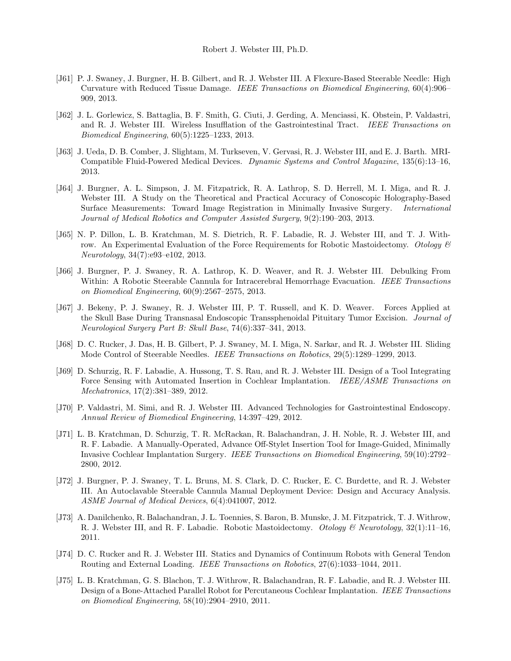- [J61] P. J. Swaney, J. Burgner, H. B. Gilbert, and R. J. Webster III. A Flexure-Based Steerable Needle: High Curvature with Reduced Tissue Damage. IEEE Transactions on Biomedical Engineering, 60(4):906– 909, 2013.
- [J62] J. L. Gorlewicz, S. Battaglia, B. F. Smith, G. Ciuti, J. Gerding, A. Menciassi, K. Obstein, P. Valdastri, and R. J. Webster III. Wireless Insufflation of the Gastrointestinal Tract. IEEE Transactions on Biomedical Engineering, 60(5):1225–1233, 2013.
- [J63] J. Ueda, D. B. Comber, J. Slightam, M. Turkseven, V. Gervasi, R. J. Webster III, and E. J. Barth. MRI-Compatible Fluid-Powered Medical Devices. Dynamic Systems and Control Magazine, 135(6):13–16, 2013.
- [J64] J. Burgner, A. L. Simpson, J. M. Fitzpatrick, R. A. Lathrop, S. D. Herrell, M. I. Miga, and R. J. Webster III. A Study on the Theoretical and Practical Accuracy of Conoscopic Holography-Based Surface Measurements: Toward Image Registration in Minimally Invasive Surgery. International Journal of Medical Robotics and Computer Assisted Surgery, 9(2):190–203, 2013.
- [J65] N. P. Dillon, L. B. Kratchman, M. S. Dietrich, R. F. Labadie, R. J. Webster III, and T. J. Withrow. An Experimental Evaluation of the Force Requirements for Robotic Mastoidectomy. Otology  $\mathcal{B}$ Neurotology, 34(7):e93–e102, 2013.
- [J66] J. Burgner, P. J. Swaney, R. A. Lathrop, K. D. Weaver, and R. J. Webster III. Debulking From Within: A Robotic Steerable Cannula for Intracerebral Hemorrhage Evacuation. IEEE Transactions on Biomedical Engineering, 60(9):2567–2575, 2013.
- [J67] J. Bekeny, P. J. Swaney, R. J. Webster III, P. T. Russell, and K. D. Weaver. Forces Applied at the Skull Base During Transnasal Endoscopic Transsphenoidal Pituitary Tumor Excision. Journal of Neurological Surgery Part B: Skull Base, 74(6):337–341, 2013.
- [J68] D. C. Rucker, J. Das, H. B. Gilbert, P. J. Swaney, M. I. Miga, N. Sarkar, and R. J. Webster III. Sliding Mode Control of Steerable Needles. IEEE Transactions on Robotics, 29(5):1289–1299, 2013.
- [J69] D. Schurzig, R. F. Labadie, A. Hussong, T. S. Rau, and R. J. Webster III. Design of a Tool Integrating Force Sensing with Automated Insertion in Cochlear Implantation. IEEE/ASME Transactions on Mechatronics, 17(2):381–389, 2012.
- [J70] P. Valdastri, M. Simi, and R. J. Webster III. Advanced Technologies for Gastrointestinal Endoscopy. Annual Review of Biomedical Engineering, 14:397–429, 2012.
- [J71] L. B. Kratchman, D. Schurzig, T. R. McRackan, R. Balachandran, J. H. Noble, R. J. Webster III, and R. F. Labadie. A Manually-Operated, Advance Off-Stylet Insertion Tool for Image-Guided, Minimally Invasive Cochlear Implantation Surgery. IEEE Transactions on Biomedical Engineering, 59(10):2792– 2800, 2012.
- [J72] J. Burgner, P. J. Swaney, T. L. Bruns, M. S. Clark, D. C. Rucker, E. C. Burdette, and R. J. Webster III. An Autoclavable Steerable Cannula Manual Deployment Device: Design and Accuracy Analysis. ASME Journal of Medical Devices, 6(4):041007, 2012.
- [J73] A. Danilchenko, R. Balachandran, J. L. Toennies, S. Baron, B. Munske, J. M. Fitzpatrick, T. J. Withrow, R. J. Webster III, and R. F. Labadie. Robotic Mastoidectomy. Otology & Neurotology, 32(1):11–16, 2011.
- [J74] D. C. Rucker and R. J. Webster III. Statics and Dynamics of Continuum Robots with General Tendon Routing and External Loading. IEEE Transactions on Robotics, 27(6):1033–1044, 2011.
- [J75] L. B. Kratchman, G. S. Blachon, T. J. Withrow, R. Balachandran, R. F. Labadie, and R. J. Webster III. Design of a Bone-Attached Parallel Robot for Percutaneous Cochlear Implantation. IEEE Transactions on Biomedical Engineering, 58(10):2904–2910, 2011.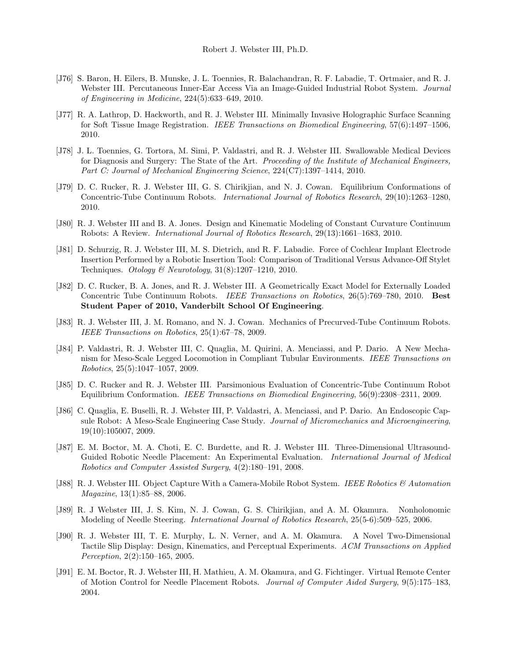- [J76] S. Baron, H. Eilers, B. Munske, J. L. Toennies, R. Balachandran, R. F. Labadie, T. Ortmaier, and R. J. Webster III. Percutaneous Inner-Ear Access Via an Image-Guided Industrial Robot System. Journal of Engineering in Medicine, 224(5):633–649, 2010.
- [J77] R. A. Lathrop, D. Hackworth, and R. J. Webster III. Minimally Invasive Holographic Surface Scanning for Soft Tissue Image Registration. IEEE Transactions on Biomedical Engineering, 57(6):1497–1506, 2010.
- [J78] J. L. Toennies, G. Tortora, M. Simi, P. Valdastri, and R. J. Webster III. Swallowable Medical Devices for Diagnosis and Surgery: The State of the Art. Proceeding of the Institute of Mechanical Engineers, Part C: Journal of Mechanical Engineering Science, 224(C7):1397–1414, 2010.
- [J79] D. C. Rucker, R. J. Webster III, G. S. Chirikjian, and N. J. Cowan. Equilibrium Conformations of Concentric-Tube Continuum Robots. International Journal of Robotics Research, 29(10):1263–1280, 2010.
- [J80] R. J. Webster III and B. A. Jones. Design and Kinematic Modeling of Constant Curvature Continuum Robots: A Review. International Journal of Robotics Research, 29(13):1661–1683, 2010.
- [J81] D. Schurzig, R. J. Webster III, M. S. Dietrich, and R. F. Labadie. Force of Cochlear Implant Electrode Insertion Performed by a Robotic Insertion Tool: Comparison of Traditional Versus Advance-Off Stylet Techniques. Otology & Neurotology, 31(8):1207–1210, 2010.
- [J82] D. C. Rucker, B. A. Jones, and R. J. Webster III. A Geometrically Exact Model for Externally Loaded Concentric Tube Continuum Robots. IEEE Transactions on Robotics, 26(5):769–780, 2010. Best Student Paper of 2010, Vanderbilt School Of Engineering.
- [J83] R. J. Webster III, J. M. Romano, and N. J. Cowan. Mechanics of Precurved-Tube Continuum Robots. IEEE Transactions on Robotics, 25(1):67–78, 2009.
- [J84] P. Valdastri, R. J. Webster III, C. Quaglia, M. Quirini, A. Menciassi, and P. Dario. A New Mechanism for Meso-Scale Legged Locomotion in Compliant Tubular Environments. IEEE Transactions on Robotics, 25(5):1047–1057, 2009.
- [J85] D. C. Rucker and R. J. Webster III. Parsimonious Evaluation of Concentric-Tube Continuum Robot Equilibrium Conformation. IEEE Transactions on Biomedical Engineering, 56(9):2308–2311, 2009.
- [J86] C. Quaglia, E. Buselli, R. J. Webster III, P. Valdastri, A. Menciassi, and P. Dario. An Endoscopic Capsule Robot: A Meso-Scale Engineering Case Study. Journal of Micromechanics and Microengineering, 19(10):105007, 2009.
- [J87] E. M. Boctor, M. A. Choti, E. C. Burdette, and R. J. Webster III. Three-Dimensional Ultrasound-Guided Robotic Needle Placement: An Experimental Evaluation. International Journal of Medical Robotics and Computer Assisted Surgery, 4(2):180–191, 2008.
- [J88] R. J. Webster III. Object Capture With a Camera-Mobile Robot System. IEEE Robotics & Automation Magazine, 13(1):85–88, 2006.
- [J89] R. J Webster III, J. S. Kim, N. J. Cowan, G. S. Chirikjian, and A. M. Okamura. Nonholonomic Modeling of Needle Steering. International Journal of Robotics Research, 25(5-6):509–525, 2006.
- [J90] R. J. Webster III, T. E. Murphy, L. N. Verner, and A. M. Okamura. A Novel Two-Dimensional Tactile Slip Display: Design, Kinematics, and Perceptual Experiments. ACM Transactions on Applied Perception, 2(2):150–165, 2005.
- [J91] E. M. Boctor, R. J. Webster III, H. Mathieu, A. M. Okamura, and G. Fichtinger. Virtual Remote Center of Motion Control for Needle Placement Robots. Journal of Computer Aided Surgery, 9(5):175–183, 2004.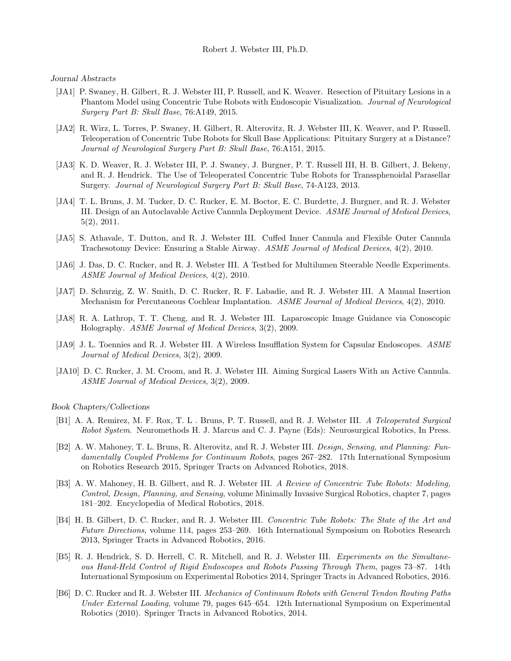Journal Abstracts

- [JA1] P. Swaney, H. Gilbert, R. J. Webster III, P. Russell, and K. Weaver. Resection of Pituitary Lesions in a Phantom Model using Concentric Tube Robots with Endoscopic Visualization. Journal of Neurological Surgery Part B: Skull Base, 76:A149, 2015.
- [JA2] R. Wirz, L. Torres, P. Swaney, H. Gilbert, R. Alterovitz, R. J. Webster III, K. Weaver, and P. Russell. Teleoperation of Concentric Tube Robots for Skull Base Applications: Pituitary Surgery at a Distance? Journal of Neurological Surgery Part B: Skull Base, 76:A151, 2015.
- [JA3] K. D. Weaver, R. J. Webster III, P. J. Swaney, J. Burgner, P. T. Russell III, H. B. Gilbert, J. Bekeny, and R. J. Hendrick. The Use of Teleoperated Concentric Tube Robots for Transsphenoidal Parasellar Surgery. Journal of Neurological Surgery Part B: Skull Base, 74-A123, 2013.
- [JA4] T. L. Bruns, J. M. Tucker, D. C. Rucker, E. M. Boctor, E. C. Burdette, J. Burgner, and R. J. Webster III. Design of an Autoclavable Active Cannula Deployment Device. ASME Journal of Medical Devices, 5(2), 2011.
- [JA5] S. Athavale, T. Dutton, and R. J. Webster III. Cuffed Inner Cannula and Flexible Outer Cannula Trachesotomy Device: Ensuring a Stable Airway. ASME Journal of Medical Devices, 4(2), 2010.
- [JA6] J. Das, D. C. Rucker, and R. J. Webster III. A Testbed for Multilumen Steerable Needle Experiments. ASME Journal of Medical Devices, 4(2), 2010.
- [JA7] D. Schurzig, Z. W. Smith, D. C. Rucker, R. F. Labadie, and R. J. Webster III. A Manual Insertion Mechanism for Percutaneous Cochlear Implantation. ASME Journal of Medical Devices, 4(2), 2010.
- [JA8] R. A. Lathrop, T. T. Cheng, and R. J. Webster III. Laparoscopic Image Guidance via Conoscopic Holography. ASME Journal of Medical Devices, 3(2), 2009.
- [JA9] J. L. Toennies and R. J. Webster III. A Wireless Insufflation System for Capsular Endoscopes. ASME Journal of Medical Devices, 3(2), 2009.
- [JA10] D. C. Rucker, J. M. Croom, and R. J. Webster III. Aiming Surgical Lasers With an Active Cannula. ASME Journal of Medical Devices, 3(2), 2009.

Book Chapters/Collections

- [B1] A. A. Remirez, M. F. Rox, T. L . Bruns, P. T. Russell, and R. J. Webster III. A Teleoperated Surgical Robot System. Neuromethods H. J. Marcus and C. J. Payne (Eds): Neurosurgical Robotics, In Press.
- [B2] A. W. Mahoney, T. L. Bruns, R. Alterovitz, and R. J. Webster III. Design, Sensing, and Planning: Fundamentally Coupled Problems for Continuum Robots, pages 267–282. 17th International Symposium on Robotics Research 2015, Springer Tracts on Advanced Robotics, 2018.
- [B3] A. W. Mahoney, H. B. Gilbert, and R. J. Webster III. A Review of Concentric Tube Robots: Modeling, Control, Design, Planning, and Sensing, volume Minimally Invasive Surgical Robotics, chapter 7, pages 181–202. Encyclopedia of Medical Robotics, 2018.
- [B4] H. B. Gilbert, D. C. Rucker, and R. J. Webster III. Concentric Tube Robots: The State of the Art and Future Directions, volume 114, pages 253–269. 16th International Symposium on Robotics Research 2013, Springer Tracts in Advanced Robotics, 2016.
- [B5] R. J. Hendrick, S. D. Herrell, C. R. Mitchell, and R. J. Webster III. Experiments on the Simultaneous Hand-Held Control of Rigid Endoscopes and Robots Passing Through Them, pages 73–87. 14th International Symposium on Experimental Robotics 2014, Springer Tracts in Advanced Robotics, 2016.
- [B6] D. C. Rucker and R. J. Webster III. Mechanics of Continuum Robots with General Tendon Routing Paths Under External Loading, volume 79, pages 645–654. 12th International Symposium on Experimental Robotics (2010). Springer Tracts in Advanced Robotics, 2014.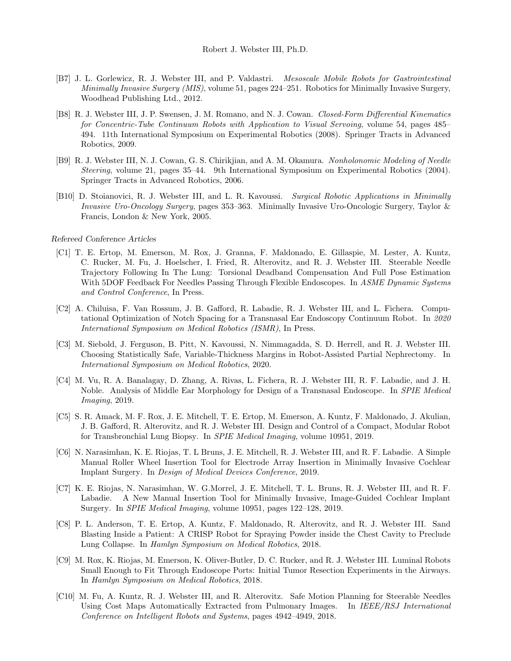- [B7] J. L. Gorlewicz, R. J. Webster III, and P. Valdastri. Mesoscale Mobile Robots for Gastrointestinal Minimally Invasive Surgery (MIS), volume 51, pages 224–251. Robotics for Minimally Invasive Surgery, Woodhead Publishing Ltd., 2012.
- [B8] R. J. Webster III, J. P. Swensen, J. M. Romano, and N. J. Cowan. Closed-Form Differential Kinematics for Concentric-Tube Continuum Robots with Application to Visual Servoing, volume 54, pages 485– 494. 11th International Symposium on Experimental Robotics (2008). Springer Tracts in Advanced Robotics, 2009.
- [B9] R. J. Webster III, N. J. Cowan, G. S. Chirikjian, and A. M. Okamura. Nonholonomic Modeling of Needle Steering, volume 21, pages 35–44. 9th International Symposium on Experimental Robotics (2004). Springer Tracts in Advanced Robotics, 2006.
- [B10] D. Stoianovici, R. J. Webster III, and L. R. Kavoussi. Surgical Robotic Applications in Minimally Invasive Uro-Oncology Surgery, pages 353–363. Minimally Invasive Uro-Oncologic Surgery, Taylor & Francis, London & New York, 2005.

#### Refereed Conference Articles

- [C1] T. E. Ertop, M. Emerson, M. Rox, J. Granna, F. Maldonado, E. Gillaspie, M. Lester, A. Kuntz, C. Rucker, M. Fu, J. Hoelscher, I. Fried, R. Alterovitz, and R. J. Webster III. Steerable Needle Trajectory Following In The Lung: Torsional Deadband Compensation And Full Pose Estimation With 5DOF Feedback For Needles Passing Through Flexible Endoscopes. In ASME Dynamic Systems and Control Conference, In Press.
- [C2] A. Chiluisa, F. Van Rossum, J. B. Gafford, R. Labadie, R. J. Webster III, and L. Fichera. Computational Optimization of Notch Spacing for a Transnasal Ear Endoscopy Continuum Robot. In 2020 International Symposium on Medical Robotics (ISMR), In Press.
- [C3] M. Siebold, J. Ferguson, B. Pitt, N. Kavoussi, N. Nimmagadda, S. D. Herrell, and R. J. Webster III. Choosing Statistically Safe, Variable-Thickness Margins in Robot-Assisted Partial Nephrectomy. In International Symposium on Medical Robotics, 2020.
- [C4] M. Vu, R. A. Banalagay, D. Zhang, A. Rivas, L. Fichera, R. J. Webster III, R. F. Labadie, and J. H. Noble. Analysis of Middle Ear Morphology for Design of a Transnasal Endoscope. In SPIE Medical Imaging, 2019.
- [C5] S. R. Amack, M. F. Rox, J. E. Mitchell, T. E. Ertop, M. Emerson, A. Kuntz, F. Maldonado, J. Akulian, J. B. Gafford, R. Alterovitz, and R. J. Webster III. Design and Control of a Compact, Modular Robot for Transbronchial Lung Biopsy. In SPIE Medical Imaging, volume 10951, 2019.
- [C6] N. Narasimhan, K. E. Riojas, T. L Bruns, J. E. Mitchell, R. J. Webster III, and R. F. Labadie. A Simple Manual Roller Wheel Insertion Tool for Electrode Array Insertion in Minimally Invasive Cochlear Implant Surgery. In Design of Medical Devices Conference, 2019.
- [C7] K. E. Riojas, N. Narasimhan, W. G.Morrel, J. E. Mitchell, T. L. Bruns, R. J. Webster III, and R. F. Labadie. A New Manual Insertion Tool for Minimally Invasive, Image-Guided Cochlear Implant Surgery. In SPIE Medical Imaging, volume 10951, pages 122–128, 2019.
- [C8] P. L. Anderson, T. E. Ertop, A. Kuntz, F. Maldonado, R. Alterovitz, and R. J. Webster III. Sand Blasting Inside a Patient: A CRISP Robot for Spraying Powder inside the Chest Cavity to Preclude Lung Collapse. In Hamlyn Symposium on Medical Robotics, 2018.
- [C9] M. Rox, K. Riojas, M. Emerson, K. Oliver-Butler, D. C. Rucker, and R. J. Webster III. Luminal Robots Small Enough to Fit Through Endoscope Ports: Initial Tumor Resection Experiments in the Airways. In Hamlyn Symposium on Medical Robotics, 2018.
- [C10] M. Fu, A. Kuntz, R. J. Webster III, and R. Alterovitz. Safe Motion Planning for Steerable Needles Using Cost Maps Automatically Extracted from Pulmonary Images. In IEEE/RSJ International Conference on Intelligent Robots and Systems, pages 4942–4949, 2018.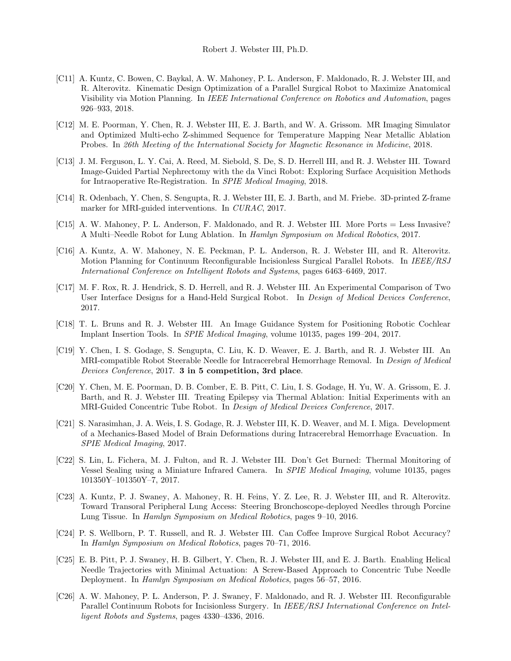- [C11] A. Kuntz, C. Bowen, C. Baykal, A. W. Mahoney, P. L. Anderson, F. Maldonado, R. J. Webster III, and R. Alterovitz. Kinematic Design Optimization of a Parallel Surgical Robot to Maximize Anatomical Visibility via Motion Planning. In IEEE International Conference on Robotics and Automation, pages 926–933, 2018.
- [C12] M. E. Poorman, Y. Chen, R. J. Webster III, E. J. Barth, and W. A. Grissom. MR Imaging Simulator and Optimized Multi-echo Z-shimmed Sequence for Temperature Mapping Near Metallic Ablation Probes. In 26th Meeting of the International Society for Magnetic Resonance in Medicine, 2018.
- [C13] J. M. Ferguson, L. Y. Cai, A. Reed, M. Siebold, S. De, S. D. Herrell III, and R. J. Webster III. Toward Image-Guided Partial Nephrectomy with the da Vinci Robot: Exploring Surface Acquisition Methods for Intraoperative Re-Registration. In SPIE Medical Imaging, 2018.
- [C14] R. Odenbach, Y. Chen, S. Sengupta, R. J. Webster III, E. J. Barth, and M. Friebe. 3D-printed Z-frame marker for MRI-guided interventions. In *CURAC*, 2017.
- [C15] A. W. Mahoney, P. L. Anderson, F. Maldonado, and R. J. Webster III. More Ports = Less Invasive? A Multi–Needle Robot for Lung Ablation. In Hamlyn Symposium on Medical Robotics, 2017.
- [C16] A. Kuntz, A. W. Mahoney, N. E. Peckman, P. L. Anderson, R. J. Webster III, and R. Alterovitz. Motion Planning for Continuum Reconfigurable Incisionless Surgical Parallel Robots. In IEEE/RSJ International Conference on Intelligent Robots and Systems, pages 6463–6469, 2017.
- [C17] M. F. Rox, R. J. Hendrick, S. D. Herrell, and R. J. Webster III. An Experimental Comparison of Two User Interface Designs for a Hand-Held Surgical Robot. In Design of Medical Devices Conference, 2017.
- [C18] T. L. Bruns and R. J. Webster III. An Image Guidance System for Positioning Robotic Cochlear Implant Insertion Tools. In SPIE Medical Imaging, volume 10135, pages 199–204, 2017.
- [C19] Y. Chen, I. S. Godage, S. Sengupta, C. Liu, K. D. Weaver, E. J. Barth, and R. J. Webster III. An MRI-compatible Robot Steerable Needle for Intracerebral Hemorrhage Removal. In Design of Medical Devices Conference, 2017. 3 in 5 competition, 3rd place.
- [C20] Y. Chen, M. E. Poorman, D. B. Comber, E. B. Pitt, C. Liu, I. S. Godage, H. Yu, W. A. Grissom, E. J. Barth, and R. J. Webster III. Treating Epilepsy via Thermal Ablation: Initial Experiments with an MRI-Guided Concentric Tube Robot. In Design of Medical Devices Conference, 2017.
- [C21] S. Narasimhan, J. A. Weis, I. S. Godage, R. J. Webster III, K. D. Weaver, and M. I. Miga. Development of a Mechanics-Based Model of Brain Deformations during Intracerebral Hemorrhage Evacuation. In SPIE Medical Imaging, 2017.
- [C22] S. Lin, L. Fichera, M. J. Fulton, and R. J. Webster III. Don't Get Burned: Thermal Monitoring of Vessel Sealing using a Miniature Infrared Camera. In SPIE Medical Imaging, volume 10135, pages 101350Y–101350Y–7, 2017.
- [C23] A. Kuntz, P. J. Swaney, A. Mahoney, R. H. Feins, Y. Z. Lee, R. J. Webster III, and R. Alterovitz. Toward Transoral Peripheral Lung Access: Steering Bronchoscope-deployed Needles through Porcine Lung Tissue. In Hamlyn Symposium on Medical Robotics, pages 9–10, 2016.
- [C24] P. S. Wellborn, P. T. Russell, and R. J. Webster III. Can Coffee Improve Surgical Robot Accuracy? In Hamlyn Symposium on Medical Robotics, pages 70–71, 2016.
- [C25] E. B. Pitt, P. J. Swaney, H. B. Gilbert, Y. Chen, R. J. Webster III, and E. J. Barth. Enabling Helical Needle Trajectories with Minimal Actuation: A Screw-Based Approach to Concentric Tube Needle Deployment. In Hamlyn Symposium on Medical Robotics, pages 56–57, 2016.
- [C26] A. W. Mahoney, P. L. Anderson, P. J. Swaney, F. Maldonado, and R. J. Webster III. Reconfigurable Parallel Continuum Robots for Incisionless Surgery. In IEEE/RSJ International Conference on Intelligent Robots and Systems, pages 4330–4336, 2016.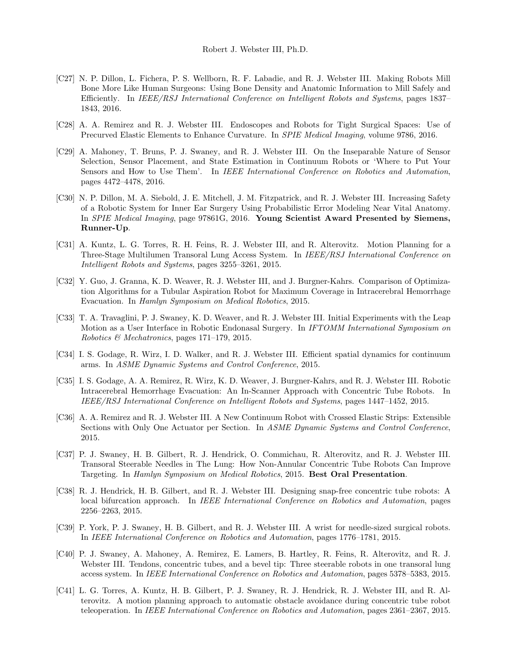- [C27] N. P. Dillon, L. Fichera, P. S. Wellborn, R. F. Labadie, and R. J. Webster III. Making Robots Mill Bone More Like Human Surgeons: Using Bone Density and Anatomic Information to Mill Safely and Efficiently. In IEEE/RSJ International Conference on Intelligent Robots and Systems, pages 1837– 1843, 2016.
- [C28] A. A. Remirez and R. J. Webster III. Endoscopes and Robots for Tight Surgical Spaces: Use of Precurved Elastic Elements to Enhance Curvature. In SPIE Medical Imaging, volume 9786, 2016.
- [C29] A. Mahoney, T. Bruns, P. J. Swaney, and R. J. Webster III. On the Inseparable Nature of Sensor Selection, Sensor Placement, and State Estimation in Continuum Robots or 'Where to Put Your Sensors and How to Use Them'. In IEEE International Conference on Robotics and Automation, pages 4472–4478, 2016.
- [C30] N. P. Dillon, M. A. Siebold, J. E. Mitchell, J. M. Fitzpatrick, and R. J. Webster III. Increasing Safety of a Robotic System for Inner Ear Surgery Using Probabilistic Error Modeling Near Vital Anatomy. In SPIE Medical Imaging, page 97861G, 2016. Young Scientist Award Presented by Siemens, Runner-Up.
- [C31] A. Kuntz, L. G. Torres, R. H. Feins, R. J. Webster III, and R. Alterovitz. Motion Planning for a Three-Stage Multilumen Transoral Lung Access System. In IEEE/RSJ International Conference on Intelligent Robots and Systems, pages 3255–3261, 2015.
- [C32] Y. Guo, J. Granna, K. D. Weaver, R. J. Webster III, and J. Burgner-Kahrs. Comparison of Optimization Algorithms for a Tubular Aspiration Robot for Maximum Coverage in Intracerebral Hemorrhage Evacuation. In Hamlyn Symposium on Medical Robotics, 2015.
- [C33] T. A. Travaglini, P. J. Swaney, K. D. Weaver, and R. J. Webster III. Initial Experiments with the Leap Motion as a User Interface in Robotic Endonasal Surgery. In IFTOMM International Symposium on Robotics & Mechatronics, pages 171–179, 2015.
- [C34] I. S. Godage, R. Wirz, I. D. Walker, and R. J. Webster III. Efficient spatial dynamics for continuum arms. In ASME Dynamic Systems and Control Conference, 2015.
- [C35] I. S. Godage, A. A. Remirez, R. Wirz, K. D. Weaver, J. Burgner-Kahrs, and R. J. Webster III. Robotic Intracerebral Hemorrhage Evacuation: An In-Scanner Approach with Concentric Tube Robots. In IEEE/RSJ International Conference on Intelligent Robots and Systems, pages 1447–1452, 2015.
- [C36] A. A. Remirez and R. J. Webster III. A New Continuum Robot with Crossed Elastic Strips: Extensible Sections with Only One Actuator per Section. In ASME Dynamic Systems and Control Conference, 2015.
- [C37] P. J. Swaney, H. B. Gilbert, R. J. Hendrick, O. Commichau, R. Alterovitz, and R. J. Webster III. Transoral Steerable Needles in The Lung: How Non-Annular Concentric Tube Robots Can Improve Targeting. In Hamlyn Symposium on Medical Robotics, 2015. Best Oral Presentation.
- [C38] R. J. Hendrick, H. B. Gilbert, and R. J. Webster III. Designing snap-free concentric tube robots: A local bifurcation approach. In IEEE International Conference on Robotics and Automation, pages 2256–2263, 2015.
- [C39] P. York, P. J. Swaney, H. B. Gilbert, and R. J. Webster III. A wrist for needle-sized surgical robots. In IEEE International Conference on Robotics and Automation, pages 1776–1781, 2015.
- [C40] P. J. Swaney, A. Mahoney, A. Remirez, E. Lamers, B. Hartley, R. Feins, R. Alterovitz, and R. J. Webster III. Tendons, concentric tubes, and a bevel tip: Three steerable robots in one transoral lung access system. In IEEE International Conference on Robotics and Automation, pages 5378–5383, 2015.
- [C41] L. G. Torres, A. Kuntz, H. B. Gilbert, P. J. Swaney, R. J. Hendrick, R. J. Webster III, and R. Alterovitz. A motion planning approach to automatic obstacle avoidance during concentric tube robot teleoperation. In IEEE International Conference on Robotics and Automation, pages 2361–2367, 2015.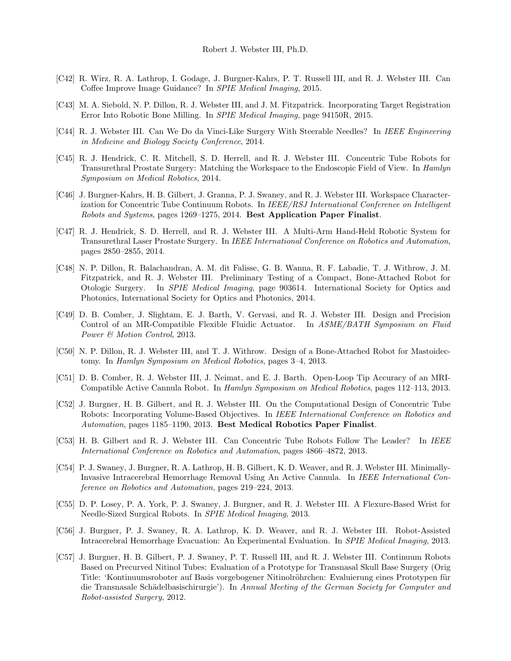- [C42] R. Wirz, R. A. Lathrop, I. Godage, J. Burgner-Kahrs, P. T. Russell III, and R. J. Webster III. Can Coffee Improve Image Guidance? In SPIE Medical Imaging, 2015.
- [C43] M. A. Siebold, N. P. Dillon, R. J. Webster III, and J. M. Fitzpatrick. Incorporating Target Registration Error Into Robotic Bone Milling. In SPIE Medical Imaging, page 94150R, 2015.
- [C44] R. J. Webster III. Can We Do da Vinci-Like Surgery With Steerable Needles? In IEEE Engineering in Medicine and Biology Society Conference, 2014.
- [C45] R. J. Hendrick, C. R. Mitchell, S. D. Herrell, and R. J. Webster III. Concentric Tube Robots for Transurethral Prostate Surgery: Matching the Workspace to the Endoscopic Field of View. In Hamlyn Symposium on Medical Robotics, 2014.
- [C46] J. Burgner-Kahrs, H. B. Gilbert, J. Granna, P. J. Swaney, and R. J. Webster III. Workspace Characterization for Concentric Tube Continuum Robots. In IEEE/RSJ International Conference on Intelligent Robots and Systems, pages 1269–1275, 2014. Best Application Paper Finalist.
- [C47] R. J. Hendrick, S. D. Herrell, and R. J. Webster III. A Multi-Arm Hand-Held Robotic System for Transurethral Laser Prostate Surgery. In IEEE International Conference on Robotics and Automation, pages 2850–2855, 2014.
- [C48] N. P. Dillon, R. Balachandran, A. M. dit Falisse, G. B. Wanna, R. F. Labadie, T. J. Withrow, J. M. Fitzpatrick, and R. J. Webster III. Preliminary Testing of a Compact, Bone-Attached Robot for Otologic Surgery. In SPIE Medical Imaging, page 903614. International Society for Optics and Photonics, International Society for Optics and Photonics, 2014.
- [C49] D. B. Comber, J. Slightam, E. J. Barth, V. Gervasi, and R. J. Webster III. Design and Precision Control of an MR-Compatible Flexible Fluidic Actuator. In ASME/BATH Symposium on Fluid Power & Motion Control, 2013.
- [C50] N. P. Dillon, R. J. Webster III, and T. J. Withrow. Design of a Bone-Attached Robot for Mastoidectomy. In Hamlyn Symposium on Medical Robotics, pages 3–4, 2013.
- [C51] D. B. Comber, R. J. Webster III, J. Neimat, and E. J. Barth. Open-Loop Tip Accuracy of an MRI-Compatible Active Cannula Robot. In Hamlyn Symposium on Medical Robotics, pages 112–113, 2013.
- [C52] J. Burgner, H. B. Gilbert, and R. J. Webster III. On the Computational Design of Concentric Tube Robots: Incorporating Volume-Based Objectives. In IEEE International Conference on Robotics and Automation, pages 1185–1190, 2013. Best Medical Robotics Paper Finalist.
- [C53] H. B. Gilbert and R. J. Webster III. Can Concentric Tube Robots Follow The Leader? In IEEE International Conference on Robotics and Automation, pages 4866–4872, 2013.
- [C54] P. J. Swaney, J. Burgner, R. A. Lathrop, H. B. Gilbert, K. D. Weaver, and R. J. Webster III. Minimally-Invasive Intracerebral Hemorrhage Removal Using An Active Cannula. In IEEE International Conference on Robotics and Automation, pages 219–224, 2013.
- [C55] D. P. Losey, P. A. York, P. J. Swaney, J. Burgner, and R. J. Webster III. A Flexure-Based Wrist for Needle-Sized Surgical Robots. In SPIE Medical Imaging, 2013.
- [C56] J. Burgner, P. J. Swaney, R. A. Lathrop, K. D. Weaver, and R. J. Webster III. Robot-Assisted Intracerebral Hemorrhage Evacuation: An Experimental Evaluation. In SPIE Medical Imaging, 2013.
- [C57] J. Burgner, H. B. Gilbert, P. J. Swaney, P. T. Russell III, and R. J. Webster III. Continuum Robots Based on Precurved Nitinol Tubes: Evaluation of a Prototype for Transnasal Skull Base Surgery (Orig Title: 'Kontinuumsroboter auf Basis vorgebogener Nitinolröhrchen: Evaluierung eines Prototypen für die Transnasale Schädelbasischirurgie'). In Annual Meeting of the German Society for Computer and Robot-assisted Surgery, 2012.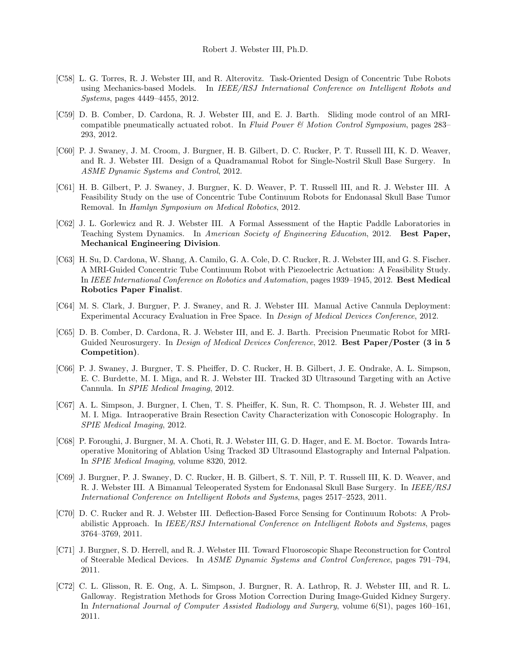- [C58] L. G. Torres, R. J. Webster III, and R. Alterovitz. Task-Oriented Design of Concentric Tube Robots using Mechanics-based Models. In IEEE/RSJ International Conference on Intelligent Robots and Systems, pages 4449–4455, 2012.
- [C59] D. B. Comber, D. Cardona, R. J. Webster III, and E. J. Barth. Sliding mode control of an MRIcompatible pneumatically actuated robot. In Fluid Power  $\mathcal{C}_{i}$  Motion Control Symposium, pages 283– 293, 2012.
- [C60] P. J. Swaney, J. M. Croom, J. Burgner, H. B. Gilbert, D. C. Rucker, P. T. Russell III, K. D. Weaver, and R. J. Webster III. Design of a Quadramanual Robot for Single-Nostril Skull Base Surgery. In ASME Dynamic Systems and Control, 2012.
- [C61] H. B. Gilbert, P. J. Swaney, J. Burgner, K. D. Weaver, P. T. Russell III, and R. J. Webster III. A Feasibility Study on the use of Concentric Tube Continuum Robots for Endonasal Skull Base Tumor Removal. In Hamlyn Symposium on Medical Robotics, 2012.
- [C62] J. L. Gorlewicz and R. J. Webster III. A Formal Assessment of the Haptic Paddle Laboratories in Teaching System Dynamics. In American Society of Engineering Education, 2012. Best Paper, Mechanical Engineering Division.
- [C63] H. Su, D. Cardona, W. Shang, A. Camilo, G. A. Cole, D. C. Rucker, R. J. Webster III, and G. S. Fischer. A MRI-Guided Concentric Tube Continuum Robot with Piezoelectric Actuation: A Feasibility Study. In IEEE International Conference on Robotics and Automation, pages 1939–1945, 2012. Best Medical Robotics Paper Finalist.
- [C64] M. S. Clark, J. Burgner, P. J. Swaney, and R. J. Webster III. Manual Active Cannula Deployment: Experimental Accuracy Evaluation in Free Space. In Design of Medical Devices Conference, 2012.
- [C65] D. B. Comber, D. Cardona, R. J. Webster III, and E. J. Barth. Precision Pneumatic Robot for MRI-Guided Neurosurgery. In *Design of Medical Devices Conference*, 2012. Best Paper/Poster (3 in 5 Competition).
- [C66] P. J. Swaney, J. Burgner, T. S. Pheiffer, D. C. Rucker, H. B. Gilbert, J. E. Ondrake, A. L. Simpson, E. C. Burdette, M. I. Miga, and R. J. Webster III. Tracked 3D Ultrasound Targeting with an Active Cannula. In SPIE Medical Imaging, 2012.
- [C67] A. L. Simpson, J. Burgner, I. Chen, T. S. Pheiffer, K. Sun, R. C. Thompson, R. J. Webster III, and M. I. Miga. Intraoperative Brain Resection Cavity Characterization with Conoscopic Holography. In SPIE Medical Imaging, 2012.
- [C68] P. Foroughi, J. Burgner, M. A. Choti, R. J. Webster III, G. D. Hager, and E. M. Boctor. Towards Intraoperative Monitoring of Ablation Using Tracked 3D Ultrasound Elastography and Internal Palpation. In SPIE Medical Imaging, volume 8320, 2012.
- [C69] J. Burgner, P. J. Swaney, D. C. Rucker, H. B. Gilbert, S. T. Nill, P. T. Russell III, K. D. Weaver, and R. J. Webster III. A Bimanual Teleoperated System for Endonasal Skull Base Surgery. In IEEE/RSJ International Conference on Intelligent Robots and Systems, pages 2517–2523, 2011.
- [C70] D. C. Rucker and R. J. Webster III. Deflection-Based Force Sensing for Continuum Robots: A Probabilistic Approach. In IEEE/RSJ International Conference on Intelligent Robots and Systems, pages 3764–3769, 2011.
- [C71] J. Burgner, S. D. Herrell, and R. J. Webster III. Toward Fluoroscopic Shape Reconstruction for Control of Steerable Medical Devices. In ASME Dynamic Systems and Control Conference, pages 791–794, 2011.
- [C72] C. L. Glisson, R. E. Ong, A. L. Simpson, J. Burgner, R. A. Lathrop, R. J. Webster III, and R. L. Galloway. Registration Methods for Gross Motion Correction During Image-Guided Kidney Surgery. In International Journal of Computer Assisted Radiology and Surgery, volume 6(S1), pages 160–161, 2011.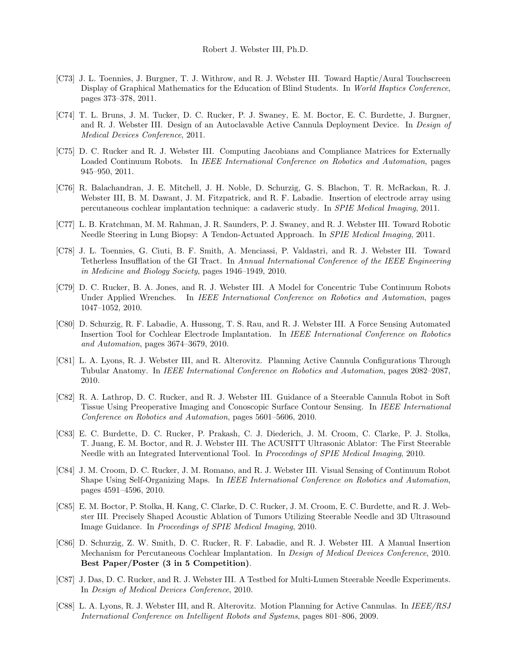- [C73] J. L. Toennies, J. Burgner, T. J. Withrow, and R. J. Webster III. Toward Haptic/Aural Touchscreen Display of Graphical Mathematics for the Education of Blind Students. In World Haptics Conference, pages 373–378, 2011.
- [C74] T. L. Bruns, J. M. Tucker, D. C. Rucker, P. J. Swaney, E. M. Boctor, E. C. Burdette, J. Burgner, and R. J. Webster III. Design of an Autoclavable Active Cannula Deployment Device. In Design of Medical Devices Conference, 2011.
- [C75] D. C. Rucker and R. J. Webster III. Computing Jacobians and Compliance Matrices for Externally Loaded Continuum Robots. In IEEE International Conference on Robotics and Automation, pages 945–950, 2011.
- [C76] R. Balachandran, J. E. Mitchell, J. H. Noble, D. Schurzig, G. S. Blachon, T. R. McRackan, R. J. Webster III, B. M. Dawant, J. M. Fitzpatrick, and R. F. Labadie. Insertion of electrode array using percutaneous cochlear implantation technique: a cadaveric study. In SPIE Medical Imaging, 2011.
- [C77] L. B. Kratchman, M. M. Rahman, J. R. Saunders, P. J. Swaney, and R. J. Webster III. Toward Robotic Needle Steering in Lung Biopsy: A Tendon-Actuated Approach. In SPIE Medical Imaging, 2011.
- [C78] J. L. Toennies, G. Ciuti, B. F. Smith, A. Menciassi, P. Valdastri, and R. J. Webster III. Toward Tetherless Insufflation of the GI Tract. In Annual International Conference of the IEEE Engineering in Medicine and Biology Society, pages 1946–1949, 2010.
- [C79] D. C. Rucker, B. A. Jones, and R. J. Webster III. A Model for Concentric Tube Continuum Robots Under Applied Wrenches. In IEEE International Conference on Robotics and Automation, pages 1047–1052, 2010.
- [C80] D. Schurzig, R. F. Labadie, A. Hussong, T. S. Rau, and R. J. Webster III. A Force Sensing Automated Insertion Tool for Cochlear Electrode Implantation. In IEEE International Conference on Robotics and Automation, pages 3674–3679, 2010.
- [C81] L. A. Lyons, R. J. Webster III, and R. Alterovitz. Planning Active Cannula Configurations Through Tubular Anatomy. In IEEE International Conference on Robotics and Automation, pages 2082–2087, 2010.
- [C82] R. A. Lathrop, D. C. Rucker, and R. J. Webster III. Guidance of a Steerable Cannula Robot in Soft Tissue Using Preoperative Imaging and Conoscopic Surface Contour Sensing. In IEEE International Conference on Robotics and Automation, pages 5601–5606, 2010.
- [C83] E. C. Burdette, D. C. Rucker, P. Prakash, C. J. Diederich, J. M. Croom, C. Clarke, P. J. Stolka, T. Juang, E. M. Boctor, and R. J. Webster III. The ACUSITT Ultrasonic Ablator: The First Steerable Needle with an Integrated Interventional Tool. In Proceedings of SPIE Medical Imaging, 2010.
- [C84] J. M. Croom, D. C. Rucker, J. M. Romano, and R. J. Webster III. Visual Sensing of Continuum Robot Shape Using Self-Organizing Maps. In IEEE International Conference on Robotics and Automation, pages 4591–4596, 2010.
- [C85] E. M. Boctor, P. Stolka, H. Kang, C. Clarke, D. C. Rucker, J. M. Croom, E. C. Burdette, and R. J. Webster III. Precisely Shaped Acoustic Ablation of Tumors Utilizing Steerable Needle and 3D Ultrasound Image Guidance. In Proceedings of SPIE Medical Imaging, 2010.
- [C86] D. Schurzig, Z. W. Smith, D. C. Rucker, R. F. Labadie, and R. J. Webster III. A Manual Insertion Mechanism for Percutaneous Cochlear Implantation. In Design of Medical Devices Conference, 2010. Best Paper/Poster (3 in 5 Competition).
- [C87] J. Das, D. C. Rucker, and R. J. Webster III. A Testbed for Multi-Lumen Steerable Needle Experiments. In Design of Medical Devices Conference, 2010.
- [C88] L. A. Lyons, R. J. Webster III, and R. Alterovitz. Motion Planning for Active Cannulas. In IEEE/RSJ International Conference on Intelligent Robots and Systems, pages 801–806, 2009.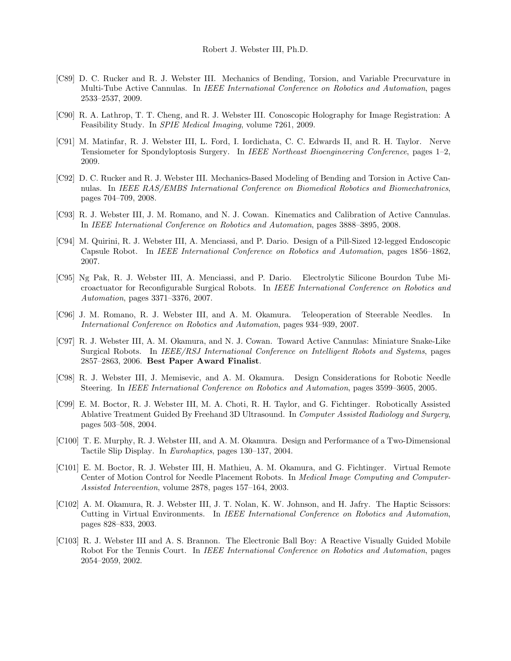- [C89] D. C. Rucker and R. J. Webster III. Mechanics of Bending, Torsion, and Variable Precurvature in Multi-Tube Active Cannulas. In IEEE International Conference on Robotics and Automation, pages 2533–2537, 2009.
- [C90] R. A. Lathrop, T. T. Cheng, and R. J. Webster III. Conoscopic Holography for Image Registration: A Feasibility Study. In SPIE Medical Imaging, volume 7261, 2009.
- [C91] M. Matinfar, R. J. Webster III, L. Ford, I. Iordichata, C. C. Edwards II, and R. H. Taylor. Nerve Tensiometer for Spondyloptosis Surgery. In IEEE Northeast Bioengineering Conference, pages 1–2, 2009.
- [C92] D. C. Rucker and R. J. Webster III. Mechanics-Based Modeling of Bending and Torsion in Active Cannulas. In IEEE RAS/EMBS International Conference on Biomedical Robotics and Biomechatronics, pages 704–709, 2008.
- [C93] R. J. Webster III, J. M. Romano, and N. J. Cowan. Kinematics and Calibration of Active Cannulas. In IEEE International Conference on Robotics and Automation, pages 3888–3895, 2008.
- [C94] M. Quirini, R. J. Webster III, A. Menciassi, and P. Dario. Design of a Pill-Sized 12-legged Endoscopic Capsule Robot. In IEEE International Conference on Robotics and Automation, pages 1856–1862, 2007.
- [C95] Ng Pak, R. J. Webster III, A. Menciassi, and P. Dario. Electrolytic Silicone Bourdon Tube Microactuator for Reconfigurable Surgical Robots. In IEEE International Conference on Robotics and Automation, pages 3371–3376, 2007.
- [C96] J. M. Romano, R. J. Webster III, and A. M. Okamura. Teleoperation of Steerable Needles. In International Conference on Robotics and Automation, pages 934–939, 2007.
- [C97] R. J. Webster III, A. M. Okamura, and N. J. Cowan. Toward Active Cannulas: Miniature Snake-Like Surgical Robots. In IEEE/RSJ International Conference on Intelligent Robots and Systems, pages 2857–2863, 2006. Best Paper Award Finalist.
- [C98] R. J. Webster III, J. Memisevic, and A. M. Okamura. Design Considerations for Robotic Needle Steering. In IEEE International Conference on Robotics and Automation, pages 3599–3605, 2005.
- [C99] E. M. Boctor, R. J. Webster III, M. A. Choti, R. H. Taylor, and G. Fichtinger. Robotically Assisted Ablative Treatment Guided By Freehand 3D Ultrasound. In Computer Assisted Radiology and Surgery, pages 503–508, 2004.
- [C100] T. E. Murphy, R. J. Webster III, and A. M. Okamura. Design and Performance of a Two-Dimensional Tactile Slip Display. In Eurohaptics, pages 130–137, 2004.
- [C101] E. M. Boctor, R. J. Webster III, H. Mathieu, A. M. Okamura, and G. Fichtinger. Virtual Remote Center of Motion Control for Needle Placement Robots. In Medical Image Computing and Computer-Assisted Intervention, volume 2878, pages 157–164, 2003.
- [C102] A. M. Okamura, R. J. Webster III, J. T. Nolan, K. W. Johnson, and H. Jafry. The Haptic Scissors: Cutting in Virtual Environments. In IEEE International Conference on Robotics and Automation, pages 828–833, 2003.
- [C103] R. J. Webster III and A. S. Brannon. The Electronic Ball Boy: A Reactive Visually Guided Mobile Robot For the Tennis Court. In IEEE International Conference on Robotics and Automation, pages 2054–2059, 2002.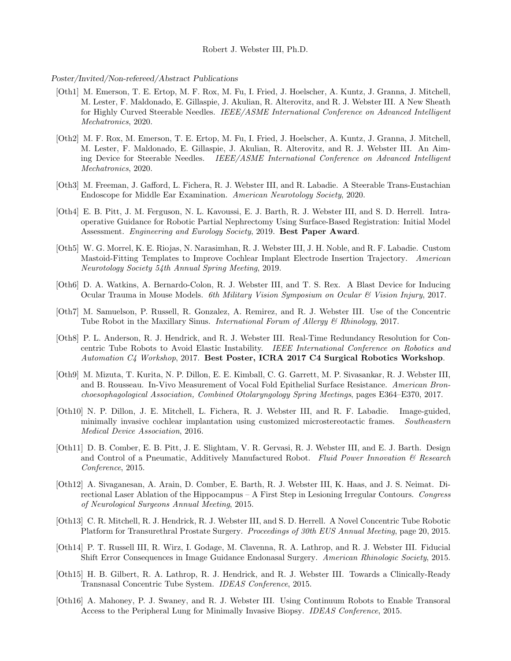## Robert J. Webster III, Ph.D.

#### Poster/Invited/Non-refereed/Abstract Publications

- [Oth1] M. Emerson, T. E. Ertop, M. F. Rox, M. Fu, I. Fried, J. Hoelscher, A. Kuntz, J. Granna, J. Mitchell, M. Lester, F. Maldonado, E. Gillaspie, J. Akulian, R. Alterovitz, and R. J. Webster III. A New Sheath for Highly Curved Steerable Needles. IEEE/ASME International Conference on Advanced Intelligent Mechatronics, 2020.
- [Oth2] M. F. Rox, M. Emerson, T. E. Ertop, M. Fu, I. Fried, J. Hoelscher, A. Kuntz, J. Granna, J. Mitchell, M. Lester, F. Maldonado, E. Gillaspie, J. Akulian, R. Alterovitz, and R. J. Webster III. An Aiming Device for Steerable Needles. IEEE/ASME International Conference on Advanced Intelligent Mechatronics, 2020.
- [Oth3] M. Freeman, J. Gafford, L. Fichera, R. J. Webster III, and R. Labadie. A Steerable Trans-Eustachian Endoscope for Middle Ear Examination. American Neurotology Society, 2020.
- [Oth4] E. B. Pitt, J. M. Ferguson, N. L. Kavoussi, E. J. Barth, R. J. Webster III, and S. D. Herrell. Intraoperative Guidance for Robotic Partial Nephrectomy Using Surface-Based Registration: Initial Model Assessment. Engineering and Eurology Society, 2019. Best Paper Award.
- [Oth5] W. G. Morrel, K. E. Riojas, N. Narasimhan, R. J. Webster III, J. H. Noble, and R. F. Labadie. Custom Mastoid-Fitting Templates to Improve Cochlear Implant Electrode Insertion Trajectory. American Neurotology Society 54th Annual Spring Meeting, 2019.
- [Oth6] D. A. Watkins, A. Bernardo-Colon, R. J. Webster III, and T. S. Rex. A Blast Device for Inducing Ocular Trauma in Mouse Models. 6th Military Vision Symposium on Ocular & Vision Injury, 2017.
- [Oth7] M. Samuelson, P. Russell, R. Gonzalez, A. Remirez, and R. J. Webster III. Use of the Concentric Tube Robot in the Maxillary Sinus. *International Forum of Allergy* & Rhinology, 2017.
- [Oth8] P. L. Anderson, R. J. Hendrick, and R. J. Webster III. Real-Time Redundancy Resolution for Concentric Tube Robots to Avoid Elastic Instability. IEEE International Conference on Robotics and Automation C4 Workshop, 2017. Best Poster, ICRA 2017 C4 Surgical Robotics Workshop.
- [Oth9] M. Mizuta, T. Kurita, N. P. Dillon, E. E. Kimball, C. G. Garrett, M. P. Sivasankar, R. J. Webster III, and B. Rousseau. In-Vivo Measurement of Vocal Fold Epithelial Surface Resistance. American Bronchoesophagological Association, Combined Otolaryngology Spring Meetings, pages E364–E370, 2017.
- [Oth10] N. P. Dillon, J. E. Mitchell, L. Fichera, R. J. Webster III, and R. F. Labadie. Image-guided, minimally invasive cochlear implantation using customized microstereotactic frames. Southeastern Medical Device Association, 2016.
- [Oth11] D. B. Comber, E. B. Pitt, J. E. Slightam, V. R. Gervasi, R. J. Webster III, and E. J. Barth. Design and Control of a Pneumatic, Additively Manufactured Robot. Fluid Power Innovation  $\mathcal{B}$  Research Conference, 2015.
- [Oth12] A. Sivaganesan, A. Arain, D. Comber, E. Barth, R. J. Webster III, K. Haas, and J. S. Neimat. Directional Laser Ablation of the Hippocampus – A First Step in Lesioning Irregular Contours. Congress of Neurological Surgeons Annual Meeting, 2015.
- [Oth13] C. R. Mitchell, R. J. Hendrick, R. J. Webster III, and S. D. Herrell. A Novel Concentric Tube Robotic Platform for Transurethral Prostate Surgery. Proceedings of 30th EUS Annual Meeting, page 20, 2015.
- [Oth14] P. T. Russell III, R. Wirz, I. Godage, M. Clavenna, R. A. Lathrop, and R. J. Webster III. Fiducial Shift Error Consequences in Image Guidance Endonasal Surgery. American Rhinologic Society, 2015.
- [Oth15] H. B. Gilbert, R. A. Lathrop, R. J. Hendrick, and R. J. Webster III. Towards a Clinically-Ready Transnasal Concentric Tube System. IDEAS Conference, 2015.
- [Oth16] A. Mahoney, P. J. Swaney, and R. J. Webster III. Using Continuum Robots to Enable Transoral Access to the Peripheral Lung for Minimally Invasive Biopsy. IDEAS Conference, 2015.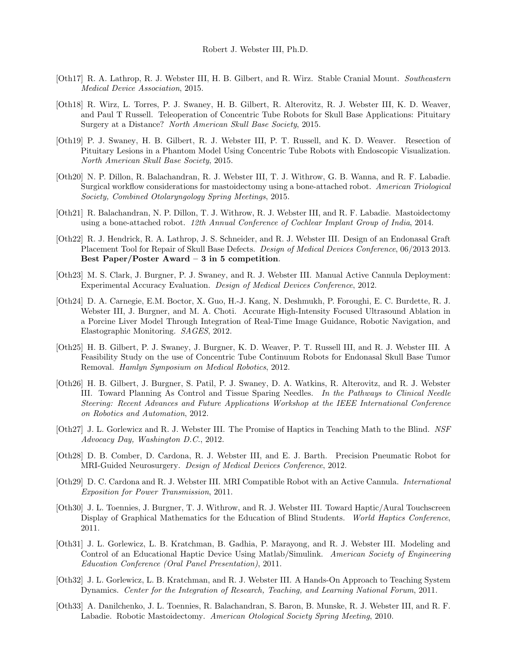- [Oth17] R. A. Lathrop, R. J. Webster III, H. B. Gilbert, and R. Wirz. Stable Cranial Mount. Southeastern Medical Device Association, 2015.
- [Oth18] R. Wirz, L. Torres, P. J. Swaney, H. B. Gilbert, R. Alterovitz, R. J. Webster III, K. D. Weaver, and Paul T Russell. Teleoperation of Concentric Tube Robots for Skull Base Applications: Pituitary Surgery at a Distance? North American Skull Base Society, 2015.
- [Oth19] P. J. Swaney, H. B. Gilbert, R. J. Webster III, P. T. Russell, and K. D. Weaver. Resection of Pituitary Lesions in a Phantom Model Using Concentric Tube Robots with Endoscopic Visualization. North American Skull Base Society, 2015.
- [Oth20] N. P. Dillon, R. Balachandran, R. J. Webster III, T. J. Withrow, G. B. Wanna, and R. F. Labadie. Surgical workflow considerations for mastoidectomy using a bone-attached robot. American Triological Society, Combined Otolaryngology Spring Meetings, 2015.
- [Oth21] R. Balachandran, N. P. Dillon, T. J. Withrow, R. J. Webster III, and R. F. Labadie. Mastoidectomy using a bone-attached robot. 12th Annual Conference of Cochlear Implant Group of India, 2014.
- [Oth22] R. J. Hendrick, R. A. Lathrop, J. S. Schneider, and R. J. Webster III. Design of an Endonasal Graft Placement Tool for Repair of Skull Base Defects. Design of Medical Devices Conference, 06/2013 2013. Best Paper/Poster Award – 3 in 5 competition.
- [Oth23] M. S. Clark, J. Burgner, P. J. Swaney, and R. J. Webster III. Manual Active Cannula Deployment: Experimental Accuracy Evaluation. Design of Medical Devices Conference, 2012.
- [Oth24] D. A. Carnegie, E.M. Boctor, X. Guo, H.-J. Kang, N. Deshmukh, P. Foroughi, E. C. Burdette, R. J. Webster III, J. Burgner, and M. A. Choti. Accurate High-Intensity Focused Ultrasound Ablation in a Porcine Liver Model Through Integration of Real-Time Image Guidance, Robotic Navigation, and Elastographic Monitoring. SAGES, 2012.
- [Oth25] H. B. Gilbert, P. J. Swaney, J. Burgner, K. D. Weaver, P. T. Russell III, and R. J. Webster III. A Feasibility Study on the use of Concentric Tube Continuum Robots for Endonasal Skull Base Tumor Removal. Hamlyn Symposium on Medical Robotics, 2012.
- [Oth26] H. B. Gilbert, J. Burgner, S. Patil, P. J. Swaney, D. A. Watkins, R. Alterovitz, and R. J. Webster III. Toward Planning As Control and Tissue Sparing Needles. In the Pathways to Clinical Needle Steering: Recent Advances and Future Applications Workshop at the IEEE International Conference on Robotics and Automation, 2012.
- [Oth27] J. L. Gorlewicz and R. J. Webster III. The Promise of Haptics in Teaching Math to the Blind. NSF Advocacy Day, Washington D.C., 2012.
- [Oth28] D. B. Comber, D. Cardona, R. J. Webster III, and E. J. Barth. Precision Pneumatic Robot for MRI-Guided Neurosurgery. Design of Medical Devices Conference, 2012.
- [Oth29] D. C. Cardona and R. J. Webster III. MRI Compatible Robot with an Active Cannula. International Exposition for Power Transmission, 2011.
- [Oth30] J. L. Toennies, J. Burgner, T. J. Withrow, and R. J. Webster III. Toward Haptic/Aural Touchscreen Display of Graphical Mathematics for the Education of Blind Students. World Haptics Conference, 2011.
- [Oth31] J. L. Gorlewicz, L. B. Kratchman, B. Gadhia, P. Marayong, and R. J. Webster III. Modeling and Control of an Educational Haptic Device Using Matlab/Simulink. American Society of Engineering Education Conference (Oral Panel Presentation), 2011.
- [Oth32] J. L. Gorlewicz, L. B. Kratchman, and R. J. Webster III. A Hands-On Approach to Teaching System Dynamics. Center for the Integration of Research, Teaching, and Learning National Forum, 2011.
- [Oth33] A. Danilchenko, J. L. Toennies, R. Balachandran, S. Baron, B. Munske, R. J. Webster III, and R. F. Labadie. Robotic Mastoidectomy. American Otological Society Spring Meeting, 2010.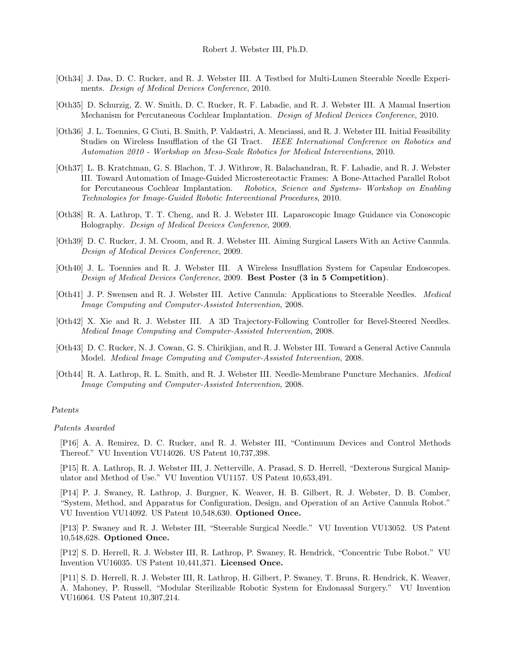- [Oth34] J. Das, D. C. Rucker, and R. J. Webster III. A Testbed for Multi-Lumen Steerable Needle Experiments. Design of Medical Devices Conference, 2010.
- [Oth35] D. Schurzig, Z. W. Smith, D. C. Rucker, R. F. Labadie, and R. J. Webster III. A Manual Insertion Mechanism for Percutaneous Cochlear Implantation. Design of Medical Devices Conference, 2010.
- [Oth36] J. L. Toennies, G Ciuti, B. Smith, P. Valdastri, A. Menciassi, and R. J. Webster III. Initial Feasibility Studies on Wireless Insufflation of the GI Tract. IEEE International Conference on Robotics and Automation 2010 - Workshop on Meso-Scale Robotics for Medical Interventions, 2010.
- [Oth37] L. B. Kratchman, G. S. Blachon, T. J. Withrow, R. Balachandran, R. F. Labadie, and R. J. Webster III. Toward Automation of Image-Guided Microstereotactic Frames: A Bone-Attached Parallel Robot for Percutaneous Cochlear Implantation. Robotics, Science and Systems- Workshop on Enabling Technologies for Image-Guided Robotic Interventional Procedures, 2010.
- [Oth38] R. A. Lathrop, T. T. Cheng, and R. J. Webster III. Laparoscopic Image Guidance via Conoscopic Holography. Design of Medical Devices Conference, 2009.
- [Oth39] D. C. Rucker, J. M. Croom, and R. J. Webster III. Aiming Surgical Lasers With an Active Cannula. Design of Medical Devices Conference, 2009.
- [Oth40] J. L. Toennies and R. J. Webster III. A Wireless Insufflation System for Capsular Endoscopes. Design of Medical Devices Conference, 2009. Best Poster (3 in 5 Competition).
- [Oth41] J. P. Swensen and R. J. Webster III. Active Cannula: Applications to Steerable Needles. Medical Image Computing and Computer-Assisted Intervention, 2008.
- [Oth42] X. Xie and R. J. Webster III. A 3D Trajectory-Following Controller for Bevel-Steered Needles. Medical Image Computing and Computer-Assisted Intervention, 2008.
- [Oth43] D. C. Rucker, N. J. Cowan, G. S. Chirikjian, and R. J. Webster III. Toward a General Active Cannula Model. Medical Image Computing and Computer-Assisted Intervention, 2008.
- [Oth44] R. A. Lathrop, R. L. Smith, and R. J. Webster III. Needle-Membrane Puncture Mechanics. Medical Image Computing and Computer-Assisted Intervention, 2008.

#### Patents

Patents Awarded

[P16] A. A. Remirez, D. C. Rucker, and R. J. Webster III, "Continuum Devices and Control Methods Thereof." VU Invention VU14026. US Patent 10,737,398.

[P15] R. A. Lathrop, R. J. Webster III, J. Netterville, A. Prasad, S. D. Herrell, "Dexterous Surgical Manipulator and Method of Use." VU Invention VU1157. US Patent 10,653,491.

[P14] P. J. Swaney, R. Lathrop, J. Burgner, K. Weaver, H. B. Gilbert, R. J. Webster, D. B. Comber, "System, Method, and Apparatus for Configuration, Design, and Operation of an Active Cannula Robot." VU Invention VU14092. US Patent 10,548,630. Optioned Once.

[P13] P. Swaney and R. J. Webster III, "Steerable Surgical Needle." VU Invention VU13052. US Patent 10,548,628. Optioned Once.

[P12] S. D. Herrell, R. J. Webster III, R. Lathrop, P. Swaney, R. Hendrick, "Concentric Tube Robot." VU Invention VU16035. US Patent 10,441,371. Licensed Once.

[P11] S. D. Herrell, R. J. Webster III, R. Lathrop, H. Gilbert, P. Swaney, T. Bruns, R. Hendrick, K. Weaver, A. Mahoney, P. Russell, "Modular Sterilizable Robotic System for Endonasal Surgery." VU Invention VU16064. US Patent 10,307,214.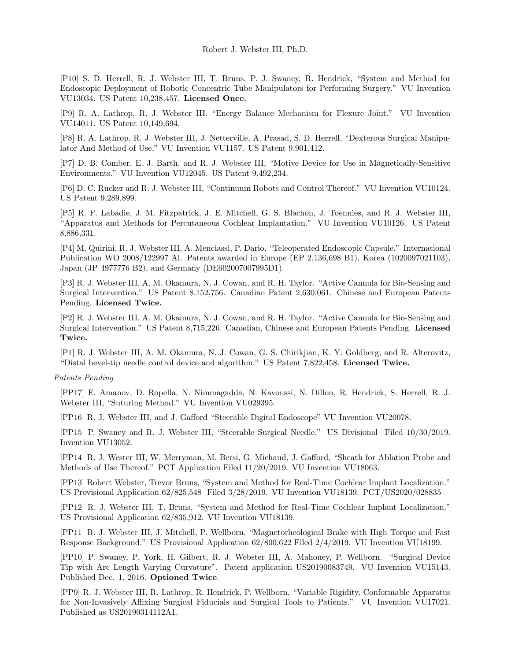[P10] S. D. Herrell, R. J. Webster III, T. Bruns, P. J. Swaney, R. Hendrick, "System and Method for Endoscopic Deployment of Robotic Concentric Tube Manipulators for Performing Surgery." VU Invention VU13034. US Patent 10,238,457. Licensed Once.

[P9] R. A. Lathrop, R. J. Webster III. "Energy Balance Mechanism for Flexure Joint." VU Invention VU14011. US Patent 10,149,694.

[P8] R. A. Lathrop, R. J. Webster III, J. Netterville, A. Prasad, S. D. Herrell, "Dexterous Surgical Manipulator And Method of Use," VU Invention VU1157. US Patent 9,901,412.

[P7] D. B. Comber, E. J. Barth, and R. J. Webster III, "Motive Device for Use in Magnetically-Sensitive Environments." VU Invention VU12045. US Patent 9,492,234.

[P6] D. C. Rucker and R. J. Webster III, "Continuum Robots and Control Thereof." VU Invention VU10124. US Patent 9,289,899.

[P5] R. F. Labadie, J. M. Fitzpatrick, J. E. Mitchell, G. S. Blachon, J. Toennies, and R. J. Webster III, "Apparatus and Methods for Percutaneous Cochlear Implantation." VU Invention VU10126. US Patent 8,886,331.

[P4] M. Quirini, R. J. Webster III, A. Menciassi, P. Dario, "Teleoperated Endoscopic Capsule." International Publication WO 2008/122997 Al. Patents awarded in Europe (EP 2,136,698 B1), Korea (1020097021103), Japan (JP 4977776 B2), and Germany (DE602007007995D1).

[P3] R. J. Webster III, A. M. Okamura, N. J. Cowan, and R. H. Taylor. "Active Cannula for Bio-Sensing and Surgical Intervention." US Patent 8,152,756. Canadian Patent 2,630,061. Chinese and European Patents Pending. Licensed Twice.

[P2] R. J. Webster III, A. M. Okamura, N. J. Cowan, and R. H. Taylor. "Active Cannula for Bio-Sensing and Surgical Intervention." US Patent 8,715,226. Canadian, Chinese and European Patents Pending. Licensed Twice.

[P1] R. J. Webster III, A. M. Okamura, N. J. Cowan, G. S. Chirikjian, K. Y. Goldberg, and R. Alterovitz, "Distal bevel-tip needle control device and algorithm." US Patent 7,822,458. Licensed Twice.

## Patents Pending

[PP17] E. Amanov, D. Ropella, N. Nimmagadda, N. Kavoussi, N. Dillon, R. Hendrick, S. Herrell, R. J. Webster III, "Suturing Method." VU Invention VU029395.

[PP16] R. J. Webster III, and J. Gafford "Steerable Digital Endoscope" VU Invention VU20078.

[PP15] P. Swaney and R. J. Webster III, "Steerable Surgical Needle." US Divisional Filed 10/30/2019. Invention VU13052.

[PP14] R. J. Wester III, W. Merryman, M. Bersi, G. Michaud, J. Gafford, "Sheath for Ablation Probe and Methods of Use Thereof." PCT Application Filed 11/20/2019. VU Invention VU18063.

[PP13] Robert Webster, Trevor Bruns, "System and Method for Real-Time Cochlear Implant Localization." US Provisional Application 62/825,548 Filed 3/28/2019. VU Invention VU18139. PCT/US2020/028835

[PP12] R. J. Webster III, T. Bruns, "System and Method for Real-Time Cochlear Implant Localization." US Provisional Application 62/835,912. VU Invention VU18139.

[PP11] R. J. Webster III, J. Mitchell, P. Wellborn, "Magnetorheological Brake with High Torque and Fast Response Background." US Provisional Application 62/800,622 Filed 2/4/2019. VU Invention VU18199.

[PP10] P. Swaney, P. York, H. Gilbert, R. J. Webster III, A. Mahoney, P. Wellborn. "Surgical Device Tip with Arc Length Varying Curvature". Patent application US20190083749. VU Invention VU15143. Published Dec. 1, 2016. Optioned Twice.

[PP9] R. J. Webster III, R. Lathrop, R. Hendrick, P. Wellborn, "Variable Rigidity, Conformable Apparatus for Non-Invasively Affixing Surgical Fiducials and Surgical Tools to Patients." VU Invention VU17021. Published as US20190314112A1.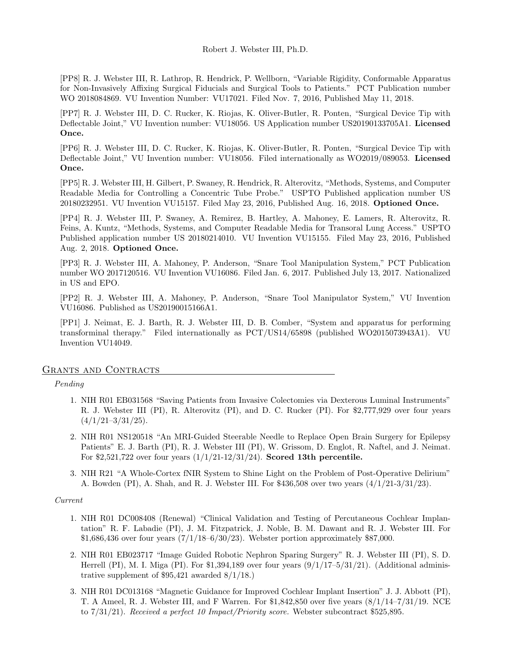[PP8] R. J. Webster III, R. Lathrop, R. Hendrick, P. Wellborn, "Variable Rigidity, Conformable Apparatus for Non-Invasively Affixing Surgical Fiducials and Surgical Tools to Patients." PCT Publication number WO 2018084869. VU Invention Number: VU17021. Filed Nov. 7, 2016, Published May 11, 2018.

[PP7] R. J. Webster III, D. C. Rucker, K. Riojas, K. Oliver-Butler, R. Ponten, "Surgical Device Tip with Deflectable Joint," VU Invention number: VU18056. US Application number US20190133705A1. Licensed Once.

[PP6] R. J. Webster III, D. C. Rucker, K. Riojas, K. Oliver-Butler, R. Ponten, "Surgical Device Tip with Deflectable Joint," VU Invention number: VU18056. Filed internationally as WO2019/089053. Licensed Once.

[PP5] R. J. Webster III, H. Gilbert, P. Swaney, R. Hendrick, R. Alterovitz, "Methods, Systems, and Computer Readable Media for Controlling a Concentric Tube Probe." USPTO Published application number US 20180232951. VU Invention VU15157. Filed May 23, 2016, Published Aug. 16, 2018. Optioned Once.

[PP4] R. J. Webster III, P. Swaney, A. Remirez, B. Hartley, A. Mahoney, E. Lamers, R. Alterovitz, R. Feins, A. Kuntz, "Methods, Systems, and Computer Readable Media for Transoral Lung Access." USPTO Published application number US 20180214010. VU Invention VU15155. Filed May 23, 2016, Published Aug. 2, 2018. Optioned Once.

[PP3] R. J. Webster III, A. Mahoney, P. Anderson, "Snare Tool Manipulation System," PCT Publication number WO 2017120516. VU Invention VU16086. Filed Jan. 6, 2017. Published July 13, 2017. Nationalized in US and EPO.

[PP2] R. J. Webster III, A. Mahoney, P. Anderson, "Snare Tool Manipulator System," VU Invention VU16086. Published as US20190015166A1.

[PP1] J. Neimat, E. J. Barth, R. J. Webster III, D. B. Comber, "System and apparatus for performing transforminal therapy." Filed internationally as PCT/US14/65898 (published WO2015073943A1). VU Invention VU14049.

#### GRANTS AND CONTRACTS

Pending

- 1. NIH R01 EB031568 "Saving Patients from Invasive Colectomies via Dexterous Luminal Instruments" R. J. Webster III (PI), R. Alterovitz (PI), and D. C. Rucker (PI). For \$2,777,929 over four years  $(4/1/21-3/31/25).$
- 2. NIH R01 NS120518 "An MRI-Guided Steerable Needle to Replace Open Brain Surgery for Epilepsy Patients" E. J. Barth (PI), R. J. Webster III (PI), W. Grissom, D. Englot, R. Naftel, and J. Neimat. For \$2,521,722 over four years (1/1/21-12/31/24). Scored 13th percentile.
- 3. NIH R21 "A Whole-Cortex fNIR System to Shine Light on the Problem of Post-Operative Delirium" A. Bowden (PI), A. Shah, and R. J. Webster III. For \$436,508 over two years (4/1/21-3/31/23).

## Current

- 1. NIH R01 DC008408 (Renewal) "Clinical Validation and Testing of Percutaneous Cochlear Implantation" R. F. Labadie (PI), J. M. Fitzpatrick, J. Noble, B. M. Dawant and R. J. Webster III. For  $$1,686,436$  over four years  $(7/1/18-6/30/23)$ . Webster portion approximately \$87,000.
- 2. NIH R01 EB023717 "Image Guided Robotic Nephron Sparing Surgery" R. J. Webster III (PI), S. D. Herrell (PI), M. I. Miga (PI). For  $\text{\$1,394,189}$  over four years (9/1/17–5/31/21). (Additional administrative supplement of \$95,421 awarded 8/1/18.)
- 3. NIH R01 DC013168 "Magnetic Guidance for Improved Cochlear Implant Insertion" J. J. Abbott (PI), T. A Ameel, R. J. Webster III, and F Warren. For \$1,842,850 over five years (8/1/14–7/31/19. NCE to 7/31/21). Received a perfect 10 Impact/Priority score. Webster subcontract \$525,895.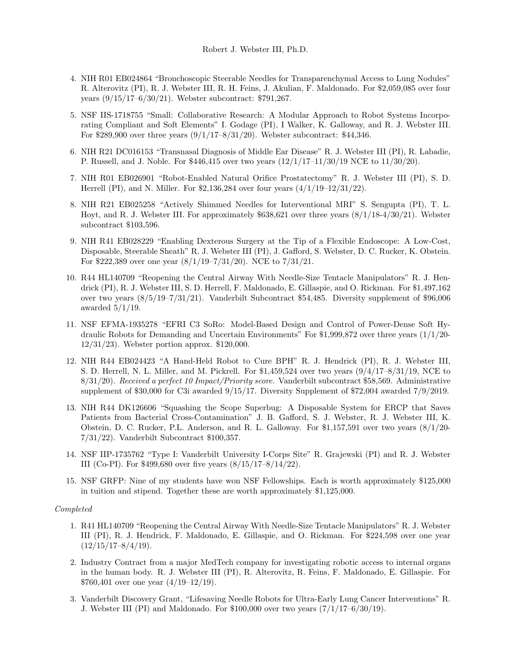- 4. NIH R01 EB024864 "Bronchoscopic Steerable Needles for Transparenchymal Access to Lung Nodules" R. Alterovitz (PI), R. J. Webster III, R. H. Feins, J. Akulian, F. Maldonado. For \$2,059,085 over four years (9/15/17–6/30/21). Webster subcontract: \$791,267.
- 5. NSF IIS-1718755 "Small: Collaborative Research: A Modular Approach to Robot Systems Incorporating Compliant and Soft Elements" I. Godage (PI), I Walker, K. Galloway, and R. J. Webster III. For \$289,900 over three years (9/1/17–8/31/20). Webster subcontract: \$44,346.
- 6. NIH R21 DC016153 "Transnasal Diagnosis of Middle Ear Disease" R. J. Webster III (PI), R. Labadie, P. Russell, and J. Noble. For \$446,415 over two years (12/1/17–11/30/19 NCE to 11/30/20).
- 7. NIH R01 EB026901 "Robot-Enabled Natural Orifice Prostatectomy" R. J. Webster III (PI), S. D. Herrell (PI), and N. Miller. For \$2,136,284 over four years (4/1/19–12/31/22).
- 8. NIH R21 EB025258 "Actively Shimmed Needles for Interventional MRI" S. Sengupta (PI), T. L. Hoyt, and R. J. Webster III. For approximately \$638,621 over three years (8/1/18-4/30/21). Webster subcontract \$103,596.
- 9. NIH R41 EB028229 "Enabling Dexterous Surgery at the Tip of a Flexible Endoscope: A Low-Cost, Disposable, Steerable Sheath" R. J. Webster III (PI), J. Gafford, S. Webster, D. C. Rucker, K. Obstein. For \$222,389 over one year (8/1/19–7/31/20). NCE to 7/31/21.
- 10. R44 HL140709 "Reopening the Central Airway With Needle-Size Tentacle Manipulators" R. J. Hendrick (PI), R. J. Webster III, S. D. Herrell, F. Maldonado, E. Gillaspie, and O. Rickman. For \$1,497,162 over two years (8/5/19–7/31/21). Vanderbilt Subcontract \$54,485. Diversity supplement of \$96,006 awarded  $5/1/19$ .
- 11. NSF EFMA-1935278 "EFRI C3 SoRo: Model-Based Design and Control of Power-Dense Soft Hydraulic Robots for Demanding and Uncertain Environments" For \$1,999,872 over three years (1/1/20- 12/31/23). Webster portion approx. \$120,000.
- 12. NIH R44 EB024423 "A Hand-Held Robot to Cure BPH" R. J. Hendrick (PI), R. J. Webster III, S. D. Herrell, N. L. Miller, and M. Pickrell. For \$1,459,524 over two years (9/4/17–8/31/19, NCE to 8/31/20). Received a perfect 10 Impact/Priority score. Vanderbilt subcontract \$58,569. Administrative supplement of \$30,000 for C3i awarded 9/15/17. Diversity Supplement of \$72,004 awarded 7/9/2019.
- 13. NIH R44 DK126606 "Squashing the Scope Superbug: A Disposable System for ERCP that Saves Patients from Bacterial Cross-Contamination" J. B. Gafford, S. J. Webster, R. J. Webster III, K. Obstein, D. C. Rucker, P.L. Anderson, and R. L. Galloway. For \$1,157,591 over two years (8/1/20- 7/31/22). Vanderbilt Subcontract \$100,357.
- 14. NSF IIP-1735762 "Type I: Vanderbilt University I-Corps Site" R. Grajewski (PI) and R. J. Webster III (Co-PI). For \$499,680 over five years (8/15/17–8/14/22).
- 15. NSF GRFP: Nine of my students have won NSF Fellowships. Each is worth approximately \$125,000 in tuition and stipend. Together these are worth approximately \$1,125,000.

#### Completed

- 1. R41 HL140709 "Reopening the Central Airway With Needle-Size Tentacle Manipulators" R. J. Webster III (PI), R. J. Hendrick, F. Maldonado, E. Gillaspie, and O. Rickman. For \$224,598 over one year  $(12/15/17-8/4/19).$
- 2. Industry Contract from a major MedTech company for investigating robotic access to internal organs in the human body. R. J. Webster III (PI), R. Alterovitz, R. Feins, F. Maldonado, E. Gillaspie. For \$760,401 over one year (4/19–12/19).
- 3. Vanderbilt Discovery Grant, "Lifesaving Needle Robots for Ultra-Early Lung Cancer Interventions" R. J. Webster III (PI) and Maldonado. For  $$100,000$  over two years  $(7/1/17-6/30/19)$ .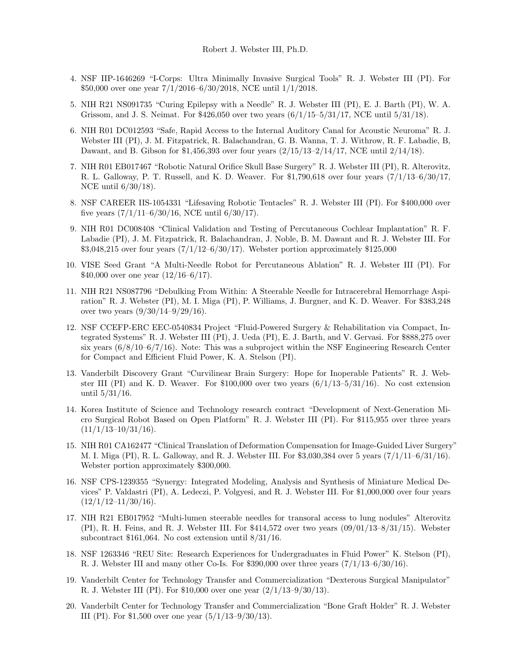- 4. NSF IIP-1646269 "I-Corps: Ultra Minimally Invasive Surgical Tools" R. J. Webster III (PI). For \$50,000 over one year 7/1/2016–6/30/2018, NCE until 1/1/2018.
- 5. NIH R21 NS091735 "Curing Epilepsy with a Needle" R. J. Webster III (PI), E. J. Barth (PI), W. A. Grissom, and J. S. Neimat. For \$426,050 over two years (6/1/15–5/31/17, NCE until 5/31/18).
- 6. NIH R01 DC012593 "Safe, Rapid Access to the Internal Auditory Canal for Acoustic Neuroma" R. J. Webster III (PI), J. M. Fitzpatrick, R. Balachandran, G. B. Wanna, T. J. Withrow, R. F. Labadie, B, Dawant, and B. Gibson for \$1,456,393 over four years (2/15/13–2/14/17, NCE until 2/14/18).
- 7. NIH R01 EB017467 "Robotic Natural Orifice Skull Base Surgery" R. J. Webster III (PI), R. Alterovitz, R. L. Galloway, P. T. Russell, and K. D. Weaver. For \$1,790,618 over four years (7/1/13–6/30/17, NCE until 6/30/18).
- 8. NSF CAREER IIS-1054331 "Lifesaving Robotic Tentacles" R. J. Webster III (PI). For \$400,000 over five years  $(7/1/11-6/30/16,$  NCE until  $6/30/17$ ).
- 9. NIH R01 DC008408 "Clinical Validation and Testing of Percutaneous Cochlear Implantation" R. F. Labadie (PI), J. M. Fitzpatrick, R. Balachandran, J. Noble, B. M. Dawant and R. J. Webster III. For  $$3,048,215$  over four years  $(7/1/12-6/30/17)$ . Webster portion approximately \$125,000
- 10. VISE Seed Grant "A Multi-Needle Robot for Percutaneous Ablation" R. J. Webster III (PI). For \$40,000 over one year (12/16–6/17).
- 11. NIH R21 NS087796 "Debulking From Within: A Steerable Needle for Intracerebral Hemorrhage Aspiration" R. J. Webster (PI), M. I. Miga (PI), P. Williams, J. Burgner, and K. D. Weaver. For \$383,248 over two years  $(9/30/14-9/29/16)$ .
- 12. NSF CCEFP-ERC EEC-0540834 Project "Fluid-Powered Surgery & Rehabilitation via Compact, Integrated Systems" R. J. Webster III (PI), J. Ueda (PI), E. J. Barth, and V. Gervasi. For \$888,275 over six years  $(6/8/10-6/7/16)$ . Note: This was a subproject within the NSF Engineering Research Center for Compact and Efficient Fluid Power, K. A. Stelson (PI).
- 13. Vanderbilt Discovery Grant "Curvilinear Brain Surgery: Hope for Inoperable Patients" R. J. Webster III (PI) and K. D. Weaver. For  $$100,000$  over two years  $(6/1/13-5/31/16)$ . No cost extension until 5/31/16.
- 14. Korea Institute of Science and Technology research contract "Development of Next-Generation Micro Surgical Robot Based on Open Platform" R. J. Webster III (PI). For \$115,955 over three years  $(11/1/13-10/31/16).$
- 15. NIH R01 CA162477 "Clinical Translation of Deformation Compensation for Image-Guided Liver Surgery" M. I. Miga (PI), R. L. Galloway, and R. J. Webster III. For \$3,030,384 over 5 years (7/1/11–6/31/16). Webster portion approximately \$300,000.
- 16. NSF CPS-1239355 "Synergy: Integrated Modeling, Analysis and Synthesis of Miniature Medical Devices" P. Valdastri (PI), A. Ledeczi, P. Volgyesi, and R. J. Webster III. For \$1,000,000 over four years  $(12/1/12-11/30/16).$
- 17. NIH R21 EB017952 "Multi-lumen steerable needles for transoral access to lung nodules" Alterovitz (PI), R. H. Feins, and R. J. Webster III. For  $$414,572$  over two years  $(09/01/13-8/31/15)$ . Webster subcontract \$161,064. No cost extension until 8/31/16.
- 18. NSF 1263346 "REU Site: Research Experiences for Undergraduates in Fluid Power" K. Stelson (PI), R. J. Webster III and many other Co-Is. For  $$390,000$  over three years  $(7/1/13-6/30/16)$ .
- 19. Vanderbilt Center for Technology Transfer and Commercialization "Dexterous Surgical Manipulator" R. J. Webster III (PI). For \$10,000 over one year (2/1/13–9/30/13).
- 20. Vanderbilt Center for Technology Transfer and Commercialization "Bone Graft Holder" R. J. Webster III (PI). For \$1,500 over one year  $(5/1/13-9/30/13)$ .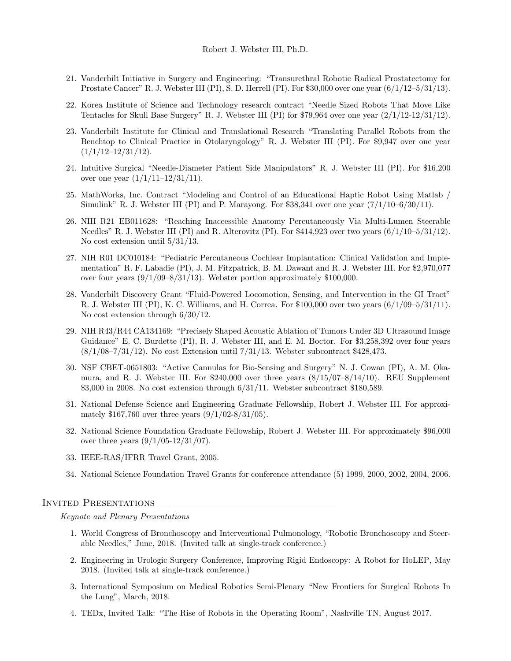- 21. Vanderbilt Initiative in Surgery and Engineering: "Transurethral Robotic Radical Prostatectomy for Prostate Cancer" R. J. Webster III (PI), S. D. Herrell (PI). For \$30,000 over one year  $(6/1/12-5/31/13)$ .
- 22. Korea Institute of Science and Technology research contract "Needle Sized Robots That Move Like Tentacles for Skull Base Surgery" R. J. Webster III (PI) for \$79,964 over one year (2/1/12-12/31/12).
- 23. Vanderbilt Institute for Clinical and Translational Research "Translating Parallel Robots from the Benchtop to Clinical Practice in Otolaryngology" R. J. Webster III (PI). For \$9,947 over one year  $(1/1/12-12/31/12).$
- 24. Intuitive Surgical "Needle-Diameter Patient Side Manipulators" R. J. Webster III (PI). For \$16,200 over one year  $(1/1/11-12/31/11)$ .
- 25. MathWorks, Inc. Contract "Modeling and Control of an Educational Haptic Robot Using Matlab / Simulink" R. J. Webster III (PI) and P. Marayong. For  $$38,341$  over one year  $(7/1/10-6/30/11)$ .
- 26. NIH R21 EB011628: "Reaching Inaccessible Anatomy Percutaneously Via Multi-Lumen Steerable Needles" R. J. Webster III (PI) and R. Alterovitz (PI). For \$414,923 over two years (6/1/10–5/31/12). No cost extension until 5/31/13.
- 27. NIH R01 DC010184: "Pediatric Percutaneous Cochlear Implantation: Clinical Validation and Implementation" R. F. Labadie (PI), J. M. Fitzpatrick, B. M. Dawant and R. J. Webster III. For \$2,970,077 over four years  $(9/1/09-8/31/13)$ . Webster portion approximately \$100,000.
- 28. Vanderbilt Discovery Grant "Fluid-Powered Locomotion, Sensing, and Intervention in the GI Tract" R. J. Webster III (PI), K. C. Williams, and H. Correa. For \$100,000 over two years (6/1/09–5/31/11). No cost extension through 6/30/12.
- 29. NIH R43/R44 CA134169: "Precisely Shaped Acoustic Ablation of Tumors Under 3D Ultrasound Image Guidance" E. C. Burdette (PI), R. J. Webster III, and E. M. Boctor. For \$3,258,392 over four years (8/1/08–7/31/12). No cost Extension until 7/31/13. Webster subcontract \$428,473.
- 30. NSF CBET-0651803: "Active Cannulas for Bio-Sensing and Surgery" N. J. Cowan (PI), A. M. Okamura, and R. J. Webster III. For  $$240,000$  over three years  $(8/15/07-8/14/10)$ . REU Supplement \$3,000 in 2008. No cost extension through 6/31/11. Webster subcontract \$180,589.
- 31. National Defense Science and Engineering Graduate Fellowship, Robert J. Webster III. For approximately \$167,760 over three years (9/1/02-8/31/05).
- 32. National Science Foundation Graduate Fellowship, Robert J. Webster III. For approximately \$96,000 over three years  $(9/1/05-12/31/07)$ .
- 33. IEEE-RAS/IFRR Travel Grant, 2005.
- 34. National Science Foundation Travel Grants for conference attendance (5) 1999, 2000, 2002, 2004, 2006.

## Invited Presentations

Keynote and Plenary Presentations

- 1. World Congress of Bronchoscopy and Interventional Pulmonology, "Robotic Bronchoscopy and Steerable Needles," June, 2018. (Invited talk at single-track conference.)
- 2. Engineering in Urologic Surgery Conference, Improving Rigid Endoscopy: A Robot for HoLEP, May 2018. (Invited talk at single-track conference.)
- 3. International Symposium on Medical Robotics Semi-Plenary "New Frontiers for Surgical Robots In the Lung", March, 2018.
- 4. TEDx, Invited Talk: "The Rise of Robots in the Operating Room", Nashville TN, August 2017.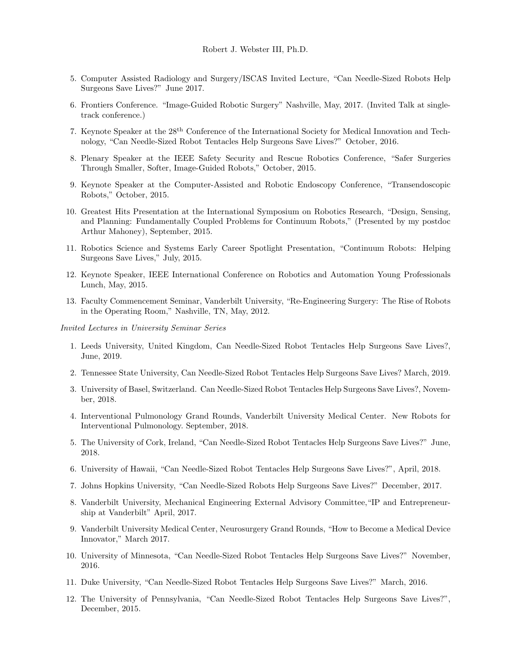- 5. Computer Assisted Radiology and Surgery/ISCAS Invited Lecture, "Can Needle-Sized Robots Help Surgeons Save Lives?" June 2017.
- 6. Frontiers Conference. "Image-Guided Robotic Surgery" Nashville, May, 2017. (Invited Talk at singletrack conference.)
- 7. Keynote Speaker at the 28th Conference of the International Society for Medical Innovation and Technology, "Can Needle-Sized Robot Tentacles Help Surgeons Save Lives?" October, 2016.
- 8. Plenary Speaker at the IEEE Safety Security and Rescue Robotics Conference, "Safer Surgeries Through Smaller, Softer, Image-Guided Robots," October, 2015.
- 9. Keynote Speaker at the Computer-Assisted and Robotic Endoscopy Conference, "Transendoscopic Robots," October, 2015.
- 10. Greatest Hits Presentation at the International Symposium on Robotics Research, "Design, Sensing, and Planning: Fundamentally Coupled Problems for Continuum Robots," (Presented by my postdoc Arthur Mahoney), September, 2015.
- 11. Robotics Science and Systems Early Career Spotlight Presentation, "Continuum Robots: Helping Surgeons Save Lives," July, 2015.
- 12. Keynote Speaker, IEEE International Conference on Robotics and Automation Young Professionals Lunch, May, 2015.
- 13. Faculty Commencement Seminar, Vanderbilt University, "Re-Engineering Surgery: The Rise of Robots in the Operating Room," Nashville, TN, May, 2012.

Invited Lectures in University Seminar Series

- 1. Leeds University, United Kingdom, Can Needle-Sized Robot Tentacles Help Surgeons Save Lives?, June, 2019.
- 2. Tennessee State University, Can Needle-Sized Robot Tentacles Help Surgeons Save Lives? March, 2019.
- 3. University of Basel, Switzerland. Can Needle-Sized Robot Tentacles Help Surgeons Save Lives?, November, 2018.
- 4. Interventional Pulmonology Grand Rounds, Vanderbilt University Medical Center. New Robots for Interventional Pulmonology. September, 2018.
- 5. The University of Cork, Ireland, "Can Needle-Sized Robot Tentacles Help Surgeons Save Lives?" June, 2018.
- 6. University of Hawaii, "Can Needle-Sized Robot Tentacles Help Surgeons Save Lives?", April, 2018.
- 7. Johns Hopkins University, "Can Needle-Sized Robots Help Surgeons Save Lives?" December, 2017.
- 8. Vanderbilt University, Mechanical Engineering External Advisory Committee,"IP and Entrepreneurship at Vanderbilt" April, 2017.
- 9. Vanderbilt University Medical Center, Neurosurgery Grand Rounds, "How to Become a Medical Device Innovator," March 2017.
- 10. University of Minnesota, "Can Needle-Sized Robot Tentacles Help Surgeons Save Lives?" November, 2016.
- 11. Duke University, "Can Needle-Sized Robot Tentacles Help Surgeons Save Lives?" March, 2016.
- 12. The University of Pennsylvania, "Can Needle-Sized Robot Tentacles Help Surgeons Save Lives?", December, 2015.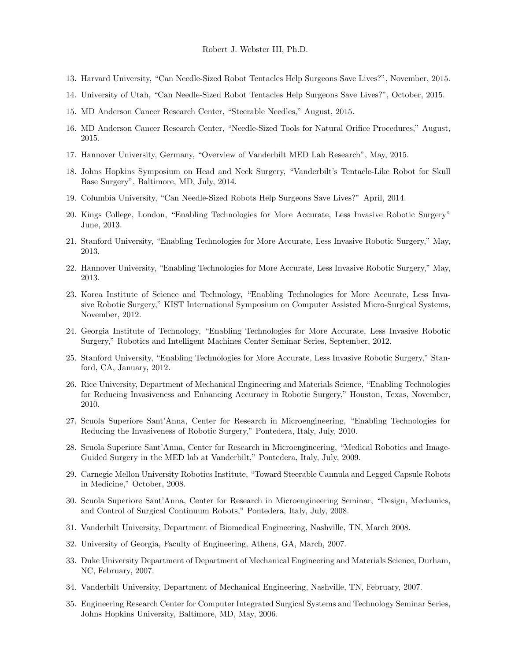- 13. Harvard University, "Can Needle-Sized Robot Tentacles Help Surgeons Save Lives?", November, 2015.
- 14. University of Utah, "Can Needle-Sized Robot Tentacles Help Surgeons Save Lives?", October, 2015.
- 15. MD Anderson Cancer Research Center, "Steerable Needles," August, 2015.
- 16. MD Anderson Cancer Research Center, "Needle-Sized Tools for Natural Orifice Procedures," August, 2015.
- 17. Hannover University, Germany, "Overview of Vanderbilt MED Lab Research", May, 2015.
- 18. Johns Hopkins Symposium on Head and Neck Surgery, "Vanderbilt's Tentacle-Like Robot for Skull Base Surgery", Baltimore, MD, July, 2014.
- 19. Columbia University, "Can Needle-Sized Robots Help Surgeons Save Lives?" April, 2014.
- 20. Kings College, London, "Enabling Technologies for More Accurate, Less Invasive Robotic Surgery" June, 2013.
- 21. Stanford University, "Enabling Technologies for More Accurate, Less Invasive Robotic Surgery," May, 2013.
- 22. Hannover University, "Enabling Technologies for More Accurate, Less Invasive Robotic Surgery," May, 2013.
- 23. Korea Institute of Science and Technology, "Enabling Technologies for More Accurate, Less Invasive Robotic Surgery," KIST International Symposium on Computer Assisted Micro-Surgical Systems, November, 2012.
- 24. Georgia Institute of Technology, "Enabling Technologies for More Accurate, Less Invasive Robotic Surgery," Robotics and Intelligent Machines Center Seminar Series, September, 2012.
- 25. Stanford University, "Enabling Technologies for More Accurate, Less Invasive Robotic Surgery," Stanford, CA, January, 2012.
- 26. Rice University, Department of Mechanical Engineering and Materials Science, "Enabling Technologies for Reducing Invasiveness and Enhancing Accuracy in Robotic Surgery," Houston, Texas, November, 2010.
- 27. Scuola Superiore Sant'Anna, Center for Research in Microengineering, "Enabling Technologies for Reducing the Invasiveness of Robotic Surgery," Pontedera, Italy, July, 2010.
- 28. Scuola Superiore Sant'Anna, Center for Research in Microengineering, "Medical Robotics and Image-Guided Surgery in the MED lab at Vanderbilt," Pontedera, Italy, July, 2009.
- 29. Carnegie Mellon University Robotics Institute, "Toward Steerable Cannula and Legged Capsule Robots in Medicine," October, 2008.
- 30. Scuola Superiore Sant'Anna, Center for Research in Microengineering Seminar, "Design, Mechanics, and Control of Surgical Continuum Robots," Pontedera, Italy, July, 2008.
- 31. Vanderbilt University, Department of Biomedical Engineering, Nashville, TN, March 2008.
- 32. University of Georgia, Faculty of Engineering, Athens, GA, March, 2007.
- 33. Duke University Department of Department of Mechanical Engineering and Materials Science, Durham, NC, February, 2007.
- 34. Vanderbilt University, Department of Mechanical Engineering, Nashville, TN, February, 2007.
- 35. Engineering Research Center for Computer Integrated Surgical Systems and Technology Seminar Series, Johns Hopkins University, Baltimore, MD, May, 2006.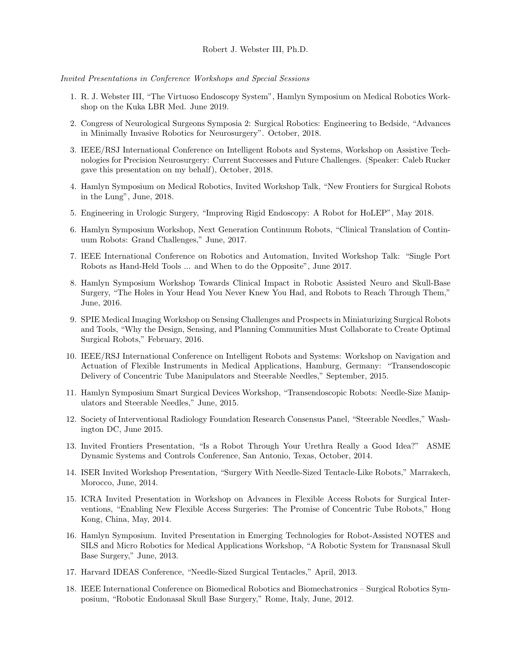Invited Presentations in Conference Workshops and Special Sessions

- 1. R. J. Webster III, "The Virtuoso Endoscopy System", Hamlyn Symposium on Medical Robotics Workshop on the Kuka LBR Med. June 2019.
- 2. Congress of Neurological Surgeons Symposia 2: Surgical Robotics: Engineering to Bedside, "Advances in Minimally Invasive Robotics for Neurosurgery". October, 2018.
- 3. IEEE/RSJ International Conference on Intelligent Robots and Systems, Workshop on Assistive Technologies for Precision Neurosurgery: Current Successes and Future Challenges. (Speaker: Caleb Rucker gave this presentation on my behalf), October, 2018.
- 4. Hamlyn Symposium on Medical Robotics, Invited Workshop Talk, "New Frontiers for Surgical Robots in the Lung", June, 2018.
- 5. Engineering in Urologic Surgery, "Improving Rigid Endoscopy: A Robot for HoLEP", May 2018.
- 6. Hamlyn Symposium Workshop, Next Generation Continuum Robots, "Clinical Translation of Continuum Robots: Grand Challenges," June, 2017.
- 7. IEEE International Conference on Robotics and Automation, Invited Workshop Talk: "Single Port Robots as Hand-Held Tools ... and When to do the Opposite", June 2017.
- 8. Hamlyn Symposium Workshop Towards Clinical Impact in Robotic Assisted Neuro and Skull-Base Surgery, "The Holes in Your Head You Never Knew You Had, and Robots to Reach Through Them," June, 2016.
- 9. SPIE Medical Imaging Workshop on Sensing Challenges and Prospects in Miniaturizing Surgical Robots and Tools, "Why the Design, Sensing, and Planning Communities Must Collaborate to Create Optimal Surgical Robots," February, 2016.
- 10. IEEE/RSJ International Conference on Intelligent Robots and Systems: Workshop on Navigation and Actuation of Flexible Instruments in Medical Applications, Hamburg, Germany: "Transendoscopic Delivery of Concentric Tube Manipulators and Steerable Needles," September, 2015.
- 11. Hamlyn Symposium Smart Surgical Devices Workshop, "Transendoscopic Robots: Needle-Size Manipulators and Steerable Needles," June, 2015.
- 12. Society of Interventional Radiology Foundation Research Consensus Panel, "Steerable Needles," Washington DC, June 2015.
- 13. Invited Frontiers Presentation, "Is a Robot Through Your Urethra Really a Good Idea?" ASME Dynamic Systems and Controls Conference, San Antonio, Texas, October, 2014.
- 14. ISER Invited Workshop Presentation, "Surgery With Needle-Sized Tentacle-Like Robots," Marrakech, Morocco, June, 2014.
- 15. ICRA Invited Presentation in Workshop on Advances in Flexible Access Robots for Surgical Interventions, "Enabling New Flexible Access Surgeries: The Promise of Concentric Tube Robots," Hong Kong, China, May, 2014.
- 16. Hamlyn Symposium. Invited Presentation in Emerging Technologies for Robot-Assisted NOTES and SILS and Micro Robotics for Medical Applications Workshop, "A Robotic System for Transnasal Skull Base Surgery," June, 2013.
- 17. Harvard IDEAS Conference, "Needle-Sized Surgical Tentacles," April, 2013.
- 18. IEEE International Conference on Biomedical Robotics and Biomechatronics Surgical Robotics Symposium, "Robotic Endonasal Skull Base Surgery," Rome, Italy, June, 2012.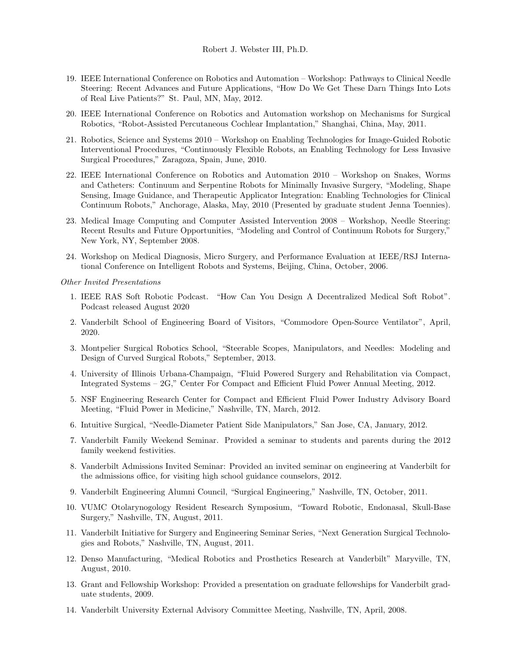- 19. IEEE International Conference on Robotics and Automation Workshop: Pathways to Clinical Needle Steering: Recent Advances and Future Applications, "How Do We Get These Darn Things Into Lots of Real Live Patients?" St. Paul, MN, May, 2012.
- 20. IEEE International Conference on Robotics and Automation workshop on Mechanisms for Surgical Robotics, "Robot-Assisted Percutaneous Cochlear Implantation," Shanghai, China, May, 2011.
- 21. Robotics, Science and Systems 2010 Workshop on Enabling Technologies for Image-Guided Robotic Interventional Procedures, "Continuously Flexible Robots, an Enabling Technology for Less Invasive Surgical Procedures," Zaragoza, Spain, June, 2010.
- 22. IEEE International Conference on Robotics and Automation 2010 Workshop on Snakes, Worms and Catheters: Continuum and Serpentine Robots for Minimally Invasive Surgery, "Modeling, Shape Sensing, Image Guidance, and Therapeutic Applicator Integration: Enabling Technologies for Clinical Continuum Robots," Anchorage, Alaska, May, 2010 (Presented by graduate student Jenna Toennies).
- 23. Medical Image Computing and Computer Assisted Intervention 2008 Workshop, Needle Steering: Recent Results and Future Opportunities, "Modeling and Control of Continuum Robots for Surgery," New York, NY, September 2008.
- 24. Workshop on Medical Diagnosis, Micro Surgery, and Performance Evaluation at IEEE/RSJ International Conference on Intelligent Robots and Systems, Beijing, China, October, 2006.

Other Invited Presentations

- 1. IEEE RAS Soft Robotic Podcast. "How Can You Design A Decentralized Medical Soft Robot". Podcast released August 2020
- 2. Vanderbilt School of Engineering Board of Visitors, "Commodore Open-Source Ventilator", April, 2020.
- 3. Montpelier Surgical Robotics School, "Steerable Scopes, Manipulators, and Needles: Modeling and Design of Curved Surgical Robots," September, 2013.
- 4. University of Illinois Urbana-Champaign, "Fluid Powered Surgery and Rehabilitation via Compact, Integrated Systems – 2G," Center For Compact and Efficient Fluid Power Annual Meeting, 2012.
- 5. NSF Engineering Research Center for Compact and Efficient Fluid Power Industry Advisory Board Meeting, "Fluid Power in Medicine," Nashville, TN, March, 2012.
- 6. Intuitive Surgical, "Needle-Diameter Patient Side Manipulators," San Jose, CA, January, 2012.
- 7. Vanderbilt Family Weekend Seminar. Provided a seminar to students and parents during the 2012 family weekend festivities.
- 8. Vanderbilt Admissions Invited Seminar: Provided an invited seminar on engineering at Vanderbilt for the admissions office, for visiting high school guidance counselors, 2012.
- 9. Vanderbilt Engineering Alumni Council, "Surgical Engineering," Nashville, TN, October, 2011.
- 10. VUMC Otolarynogology Resident Research Symposium, "Toward Robotic, Endonasal, Skull-Base Surgery," Nashville, TN, August, 2011.
- 11. Vanderbilt Initiative for Surgery and Engineering Seminar Series, "Next Generation Surgical Technologies and Robots," Nashville, TN, August, 2011.
- 12. Denso Manufacturing, "Medical Robotics and Prosthetics Research at Vanderbilt" Maryville, TN, August, 2010.
- 13. Grant and Fellowship Workshop: Provided a presentation on graduate fellowships for Vanderbilt graduate students, 2009.
- 14. Vanderbilt University External Advisory Committee Meeting, Nashville, TN, April, 2008.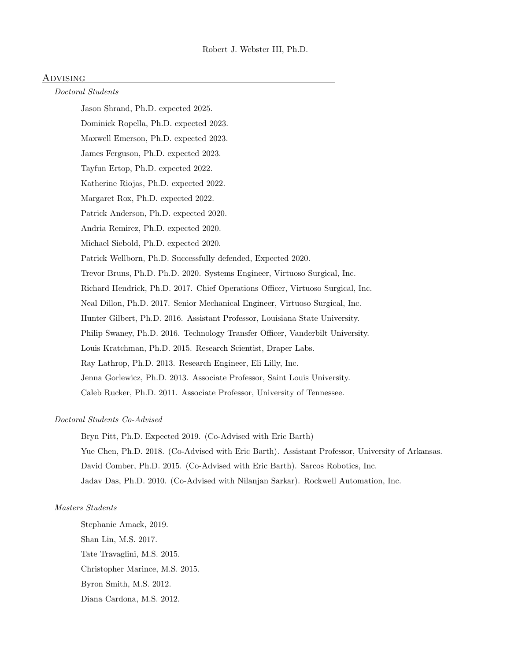## <u>Advising</u>

## Doctoral Students

Jason Shrand, Ph.D. expected 2025.

Dominick Ropella, Ph.D. expected 2023.

Maxwell Emerson, Ph.D. expected 2023.

James Ferguson, Ph.D. expected 2023.

Tayfun Ertop, Ph.D. expected 2022.

Katherine Riojas, Ph.D. expected 2022.

Margaret Rox, Ph.D. expected 2022.

Patrick Anderson, Ph.D. expected 2020.

Andria Remirez, Ph.D. expected 2020.

Michael Siebold, Ph.D. expected 2020.

Patrick Wellborn, Ph.D. Successfully defended, Expected 2020.

Trevor Bruns, Ph.D. Ph.D. 2020. Systems Engineer, Virtuoso Surgical, Inc.

Richard Hendrick, Ph.D. 2017. Chief Operations Officer, Virtuoso Surgical, Inc.

Neal Dillon, Ph.D. 2017. Senior Mechanical Engineer, Virtuoso Surgical, Inc.

Hunter Gilbert, Ph.D. 2016. Assistant Professor, Louisiana State University.

Philip Swaney, Ph.D. 2016. Technology Transfer Officer, Vanderbilt University.

Louis Kratchman, Ph.D. 2015. Research Scientist, Draper Labs.

Ray Lathrop, Ph.D. 2013. Research Engineer, Eli Lilly, Inc.

Jenna Gorlewicz, Ph.D. 2013. Associate Professor, Saint Louis University.

Caleb Rucker, Ph.D. 2011. Associate Professor, University of Tennessee.

## Doctoral Students Co-Advised

Bryn Pitt, Ph.D. Expected 2019. (Co-Advised with Eric Barth) Yue Chen, Ph.D. 2018. (Co-Advised with Eric Barth). Assistant Professor, University of Arkansas. David Comber, Ph.D. 2015. (Co-Advised with Eric Barth). Sarcos Robotics, Inc. Jadav Das, Ph.D. 2010. (Co-Advised with Nilanjan Sarkar). Rockwell Automation, Inc.

#### Masters Students

Stephanie Amack, 2019. Shan Lin, M.S. 2017. Tate Travaglini, M.S. 2015. Christopher Marince, M.S. 2015. Byron Smith, M.S. 2012. Diana Cardona, M.S. 2012.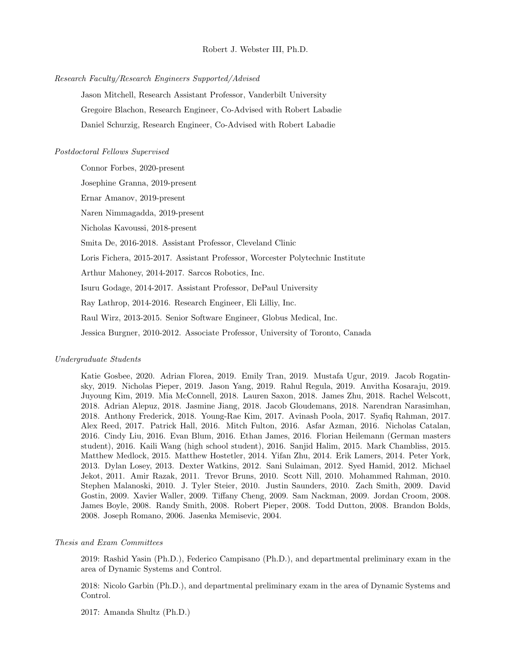#### Research Faculty/Research Engineers Supported/Advised

Jason Mitchell, Research Assistant Professor, Vanderbilt University Gregoire Blachon, Research Engineer, Co-Advised with Robert Labadie Daniel Schurzig, Research Engineer, Co-Advised with Robert Labadie

## Postdoctoral Fellows Supervised

Connor Forbes, 2020-present

Josephine Granna, 2019-present

Ernar Amanov, 2019-present

Naren Nimmagadda, 2019-present

Nicholas Kavoussi, 2018-present

Smita De, 2016-2018. Assistant Professor, Cleveland Clinic

Loris Fichera, 2015-2017. Assistant Professor, Worcester Polytechnic Institute

Arthur Mahoney, 2014-2017. Sarcos Robotics, Inc.

Isuru Godage, 2014-2017. Assistant Professor, DePaul University

Ray Lathrop, 2014-2016. Research Engineer, Eli Lilliy, Inc.

Raul Wirz, 2013-2015. Senior Software Engineer, Globus Medical, Inc.

Jessica Burgner, 2010-2012. Associate Professor, University of Toronto, Canada

## Undergraduate Students

Katie Gosbee, 2020. Adrian Florea, 2019. Emily Tran, 2019. Mustafa Ugur, 2019. Jacob Rogatinsky, 2019. Nicholas Pieper, 2019. Jason Yang, 2019. Rahul Regula, 2019. Anvitha Kosaraju, 2019. Juyoung Kim, 2019. Mia McConnell, 2018. Lauren Saxon, 2018. James Zhu, 2018. Rachel Welscott, 2018. Adrian Alepuz, 2018. Jasmine Jiang, 2018. Jacob Gloudemans, 2018. Narendran Narasimhan, 2018. Anthony Frederick, 2018. Young-Rae Kim, 2017. Avinash Poola, 2017. Syafiq Rahman, 2017. Alex Reed, 2017. Patrick Hall, 2016. Mitch Fulton, 2016. Asfar Azman, 2016. Nicholas Catalan, 2016. Cindy Liu, 2016. Evan Blum, 2016. Ethan James, 2016. Florian Heilemann (German masters student), 2016. Kaili Wang (high school student), 2016. Sanjid Halim, 2015. Mark Chambliss, 2015. Matthew Medlock, 2015. Matthew Hostetler, 2014. Yifan Zhu, 2014. Erik Lamers, 2014. Peter York, 2013. Dylan Losey, 2013. Dexter Watkins, 2012. Sani Sulaiman, 2012. Syed Hamid, 2012. Michael Jekot, 2011. Amir Razak, 2011. Trevor Bruns, 2010. Scott Nill, 2010. Mohammed Rahman, 2010. Stephen Malanoski, 2010. J. Tyler Steier, 2010. Justin Saunders, 2010. Zach Smith, 2009. David Gostin, 2009. Xavier Waller, 2009. Tiffany Cheng, 2009. Sam Nackman, 2009. Jordan Croom, 2008. James Boyle, 2008. Randy Smith, 2008. Robert Pieper, 2008. Todd Dutton, 2008. Brandon Bolds, 2008. Joseph Romano, 2006. Jasenka Memisevic, 2004.

## Thesis and Exam Committees

2019: Rashid Yasin (Ph.D.), Federico Campisano (Ph.D.), and departmental preliminary exam in the area of Dynamic Systems and Control.

2018: Nicolo Garbin (Ph.D.), and departmental preliminary exam in the area of Dynamic Systems and Control.

2017: Amanda Shultz (Ph.D.)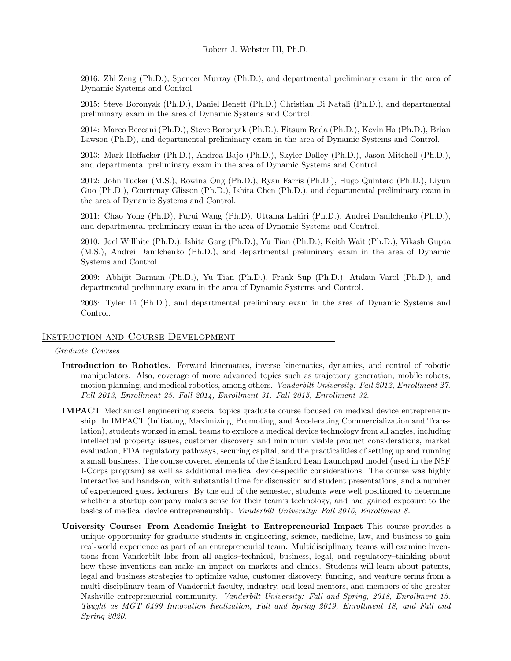2016: Zhi Zeng (Ph.D.), Spencer Murray (Ph.D.), and departmental preliminary exam in the area of Dynamic Systems and Control.

2015: Steve Boronyak (Ph.D.), Daniel Benett (Ph.D.) Christian Di Natali (Ph.D.), and departmental preliminary exam in the area of Dynamic Systems and Control.

2014: Marco Beccani (Ph.D.), Steve Boronyak (Ph.D.), Fitsum Reda (Ph.D.), Kevin Ha (Ph.D.), Brian Lawson (Ph.D), and departmental preliminary exam in the area of Dynamic Systems and Control.

2013: Mark Hoffacker (Ph.D.), Andrea Bajo (Ph.D.), Skyler Dalley (Ph.D.), Jason Mitchell (Ph.D.), and departmental preliminary exam in the area of Dynamic Systems and Control.

2012: John Tucker (M.S.), Rowina Ong (Ph.D.), Ryan Farris (Ph.D.), Hugo Quintero (Ph.D.), Liyun Guo (Ph.D.), Courtenay Glisson (Ph.D.), Ishita Chen (Ph.D.), and departmental preliminary exam in the area of Dynamic Systems and Control.

2011: Chao Yong (Ph.D), Furui Wang (Ph.D), Uttama Lahiri (Ph.D.), Andrei Danilchenko (Ph.D.), and departmental preliminary exam in the area of Dynamic Systems and Control.

2010: Joel Willhite (Ph.D.), Ishita Garg (Ph.D.), Yu Tian (Ph.D.), Keith Wait (Ph.D.), Vikash Gupta (M.S.), Andrei Danilchenko (Ph.D.), and departmental preliminary exam in the area of Dynamic Systems and Control.

2009: Abhijit Barman (Ph.D.), Yu Tian (Ph.D.), Frank Sup (Ph.D.), Atakan Varol (Ph.D.), and departmental preliminary exam in the area of Dynamic Systems and Control.

2008: Tyler Li (Ph.D.), and departmental preliminary exam in the area of Dynamic Systems and Control.

## Instruction and Course Development

## Graduate Courses

- Introduction to Robotics. Forward kinematics, inverse kinematics, dynamics, and control of robotic manipulators. Also, coverage of more advanced topics such as trajectory generation, mobile robots, motion planning, and medical robotics, among others. Vanderbilt University: Fall 2012, Enrollment 27. Fall 2013, Enrollment 25. Fall 2014, Enrollment 31. Fall 2015, Enrollment 32.
- IMPACT Mechanical engineering special topics graduate course focused on medical device entrepreneurship. In IMPACT (Initiating, Maximizing, Promoting, and Accelerating Commercialization and Translation), students worked in small teams to explore a medical device technology from all angles, including intellectual property issues, customer discovery and minimum viable product considerations, market evaluation, FDA regulatory pathways, securing capital, and the practicalities of setting up and running a small business. The course covered elements of the Stanford Lean Launchpad model (used in the NSF I-Corps program) as well as additional medical device-specific considerations. The course was highly interactive and hands-on, with substantial time for discussion and student presentations, and a number of experienced guest lecturers. By the end of the semester, students were well positioned to determine whether a startup company makes sense for their team's technology, and had gained exposure to the basics of medical device entrepreneurship. Vanderbilt University: Fall 2016, Enrollment 8.
- University Course: From Academic Insight to Entrepreneurial Impact This course provides a unique opportunity for graduate students in engineering, science, medicine, law, and business to gain real-world experience as part of an entrepreneurial team. Multidisciplinary teams will examine inventions from Vanderbilt labs from all angles–technical, business, legal, and regulatory–thinking about how these inventions can make an impact on markets and clinics. Students will learn about patents, legal and business strategies to optimize value, customer discovery, funding, and venture terms from a multi-disciplinary team of Vanderbilt faculty, industry, and legal mentors, and members of the greater Nashville entrepreneurial community. Vanderbilt University: Fall and Spring, 2018, Enrollment 15. Taught as MGT 6499 Innovation Realization, Fall and Spring 2019, Enrollment 18, and Fall and Spring 2020.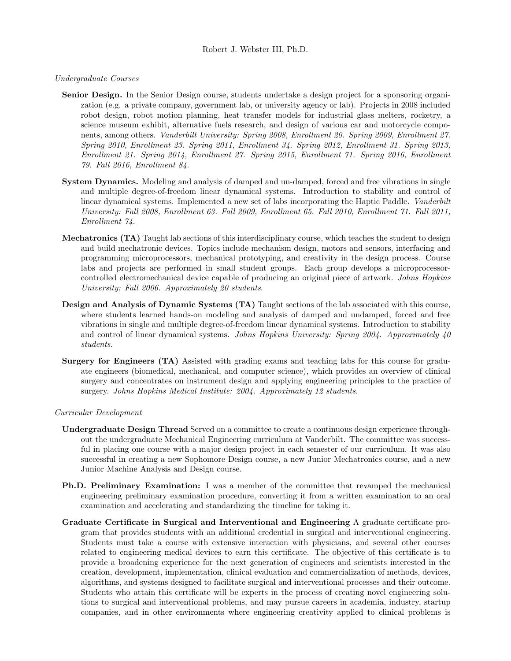## Undergraduate Courses

- Senior Design. In the Senior Design course, students undertake a design project for a sponsoring organization (e.g. a private company, government lab, or university agency or lab). Projects in 2008 included robot design, robot motion planning, heat transfer models for industrial glass melters, rocketry, a science museum exhibit, alternative fuels research, and design of various car and motorcycle components, among others. Vanderbilt University: Spring 2008, Enrollment 20. Spring 2009, Enrollment 27. Spring 2010, Enrollment 23. Spring 2011, Enrollment 34. Spring 2012, Enrollment 31. Spring 2013, Enrollment 21. Spring 2014, Enrollment 27. Spring 2015, Enrollment 71. Spring 2016, Enrollment 79. Fall 2016, Enrollment 84.
- System Dynamics. Modeling and analysis of damped and un-damped, forced and free vibrations in single and multiple degree-of-freedom linear dynamical systems. Introduction to stability and control of linear dynamical systems. Implemented a new set of labs incorporating the Haptic Paddle. Vanderbilt University: Fall 2008, Enrollment 63. Fall 2009, Enrollment 65. Fall 2010, Enrollment 71. Fall 2011, Enrollment 74.
- Mechatronics (TA) Taught lab sections of this interdisciplinary course, which teaches the student to design and build mechatronic devices. Topics include mechanism design, motors and sensors, interfacing and programming microprocessors, mechanical prototyping, and creativity in the design process. Course labs and projects are performed in small student groups. Each group develops a microprocessorcontrolled electromechanical device capable of producing an original piece of artwork. Johns Hopkins University: Fall 2006. Approximately 20 students.
- Design and Analysis of Dynamic Systems (TA) Taught sections of the lab associated with this course, where students learned hands-on modeling and analysis of damped and undamped, forced and free vibrations in single and multiple degree-of-freedom linear dynamical systems. Introduction to stability and control of linear dynamical systems. Johns Hopkins University: Spring 2004. Approximately  $\mu$ 0 students.
- Surgery for Engineers (TA) Assisted with grading exams and teaching labs for this course for graduate engineers (biomedical, mechanical, and computer science), which provides an overview of clinical surgery and concentrates on instrument design and applying engineering principles to the practice of surgery. Johns Hopkins Medical Institute: 2004. Approximately 12 students.

#### Curricular Development

- Undergraduate Design Thread Served on a committee to create a continuous design experience throughout the undergraduate Mechanical Engineering curriculum at Vanderbilt. The committee was successful in placing one course with a major design project in each semester of our curriculum. It was also successful in creating a new Sophomore Design course, a new Junior Mechatronics course, and a new Junior Machine Analysis and Design course.
- Ph.D. Preliminary Examination: I was a member of the committee that revamped the mechanical engineering preliminary examination procedure, converting it from a written examination to an oral examination and accelerating and standardizing the timeline for taking it.
- Graduate Certificate in Surgical and Interventional and Engineering A graduate certificate program that provides students with an additional credential in surgical and interventional engineering. Students must take a course with extensive interaction with physicians, and several other courses related to engineering medical devices to earn this certificate. The objective of this certificate is to provide a broadening experience for the next generation of engineers and scientists interested in the creation, development, implementation, clinical evaluation and commercialization of methods, devices, algorithms, and systems designed to facilitate surgical and interventional processes and their outcome. Students who attain this certificate will be experts in the process of creating novel engineering solutions to surgical and interventional problems, and may pursue careers in academia, industry, startup companies, and in other environments where engineering creativity applied to clinical problems is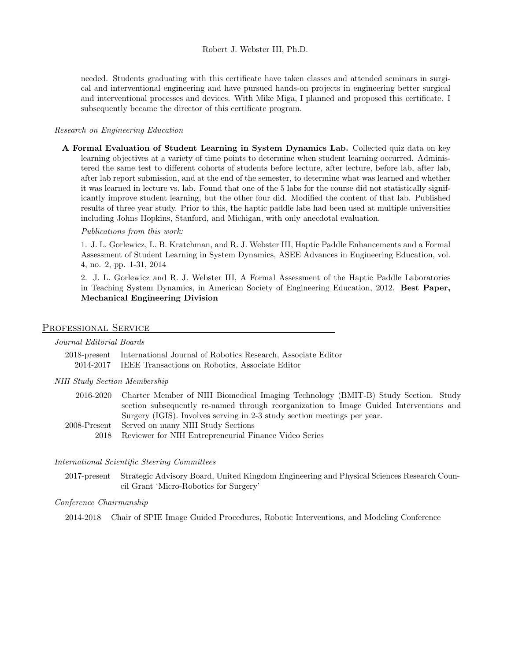needed. Students graduating with this certificate have taken classes and attended seminars in surgical and interventional engineering and have pursued hands-on projects in engineering better surgical and interventional processes and devices. With Mike Miga, I planned and proposed this certificate. I subsequently became the director of this certificate program.

## Research on Engineering Education

A Formal Evaluation of Student Learning in System Dynamics Lab. Collected quiz data on key learning objectives at a variety of time points to determine when student learning occurred. Administered the same test to different cohorts of students before lecture, after lecture, before lab, after lab, after lab report submission, and at the end of the semester, to determine what was learned and whether it was learned in lecture vs. lab. Found that one of the 5 labs for the course did not statistically significantly improve student learning, but the other four did. Modified the content of that lab. Published results of three year study. Prior to this, the haptic paddle labs had been used at multiple universities including Johns Hopkins, Stanford, and Michigan, with only anecdotal evaluation.

Publications from this work:

1. J. L. Gorlewicz, L. B. Kratchman, and R. J. Webster III, Haptic Paddle Enhancements and a Formal Assessment of Student Learning in System Dynamics, ASEE Advances in Engineering Education, vol. 4, no. 2, pp. 1-31, 2014

2. J. L. Gorlewicz and R. J. Webster III, A Formal Assessment of the Haptic Paddle Laboratories in Teaching System Dynamics, in American Society of Engineering Education, 2012. Best Paper, Mechanical Engineering Division

#### PROFESSIONAL SERVICE

| <i>Journal Editorial Boards</i> |                                                                                                                                        |  |
|---------------------------------|----------------------------------------------------------------------------------------------------------------------------------------|--|
|                                 | 2018-present International Journal of Robotics Research, Associate Editor<br>2014-2017 IEEE Transactions on Robotics, Associate Editor |  |

#### NIH Study Section Membership

- 2016-2020 Charter Member of NIH Biomedical Imaging Technology (BMIT-B) Study Section. Study section subsequently re-named through reorganization to Image Guided Interventions and Surgery (IGIS). Involves serving in 2-3 study section meetings per year. 2008-Present Served on many NIH Study Sections
	- - 2018 Reviewer for NIH Entrepreneurial Finance Video Series

#### International Scientific Steering Committees

2017-present Strategic Advisory Board, United Kingdom Engineering and Physical Sciences Research Council Grant 'Micro-Robotics for Surgery'

## Conference Chairmanship

2014-2018 Chair of SPIE Image Guided Procedures, Robotic Interventions, and Modeling Conference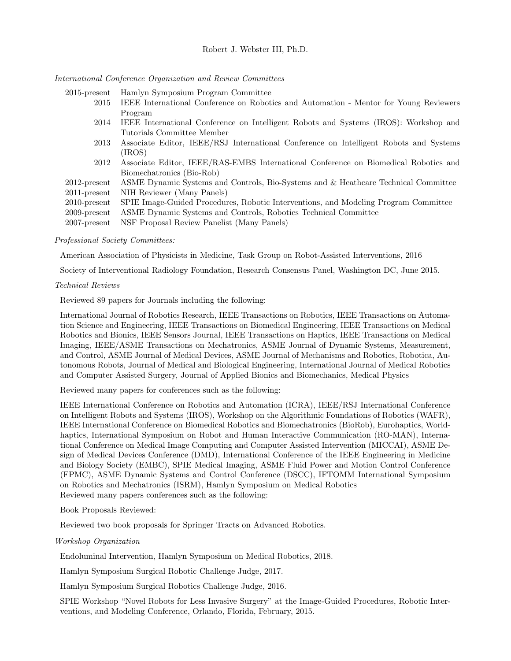# International Conference Organization and Review Committees

2015-present Hamlyn Symposium Program Committee

2015 IEEE International Conference on Robotics and Automation - Mentor for Young Reviewers Program 2014 IEEE International Conference on Intelligent Robots and Systems (IROS): Workshop and Tutorials Committee Member 2013 Associate Editor, IEEE/RSJ International Conference on Intelligent Robots and Systems (IROS) 2012 Associate Editor, IEEE/RAS-EMBS International Conference on Biomedical Robotics and Biomechatronics (Bio-Rob) 2012-present ASME Dynamic Systems and Controls, Bio-Systems and & Heathcare Technical Committee 2011-present NIH Reviewer (Many Panels) 2010-present SPIE Image-Guided Procedures, Robotic Interventions, and Modeling Program Committee 2009-present ASME Dynamic Systems and Controls, Robotics Technical Committee

2007-present NSF Proposal Review Panelist (Many Panels)

## Professional Society Committees:

American Association of Physicists in Medicine, Task Group on Robot-Assisted Interventions, 2016

Society of Interventional Radiology Foundation, Research Consensus Panel, Washington DC, June 2015.

## Technical Reviews

Reviewed 89 papers for Journals including the following:

International Journal of Robotics Research, IEEE Transactions on Robotics, IEEE Transactions on Automation Science and Engineering, IEEE Transactions on Biomedical Engineering, IEEE Transactions on Medical Robotics and Bionics, IEEE Sensors Journal, IEEE Transactions on Haptics, IEEE Transactions on Medical Imaging, IEEE/ASME Transactions on Mechatronics, ASME Journal of Dynamic Systems, Measurement, and Control, ASME Journal of Medical Devices, ASME Journal of Mechanisms and Robotics, Robotica, Autonomous Robots, Journal of Medical and Biological Engineering, International Journal of Medical Robotics and Computer Assisted Surgery, Journal of Applied Bionics and Biomechanics, Medical Physics

Reviewed many papers for conferences such as the following:

IEEE International Conference on Robotics and Automation (ICRA), IEEE/RSJ International Conference on Intelligent Robots and Systems (IROS), Workshop on the Algorithmic Foundations of Robotics (WAFR), IEEE International Conference on Biomedical Robotics and Biomechatronics (BioRob), Eurohaptics, Worldhaptics, International Symposium on Robot and Human Interactive Communication (RO-MAN), International Conference on Medical Image Computing and Computer Assisted Intervention (MICCAI), ASME Design of Medical Devices Conference (DMD), International Conference of the IEEE Engineering in Medicine and Biology Society (EMBC), SPIE Medical Imaging, ASME Fluid Power and Motion Control Conference (FPMC), ASME Dynamic Systems and Control Conference (DSCC), IFTOMM International Symposium on Robotics and Mechatronics (ISRM), Hamlyn Symposium on Medical Robotics Reviewed many papers conferences such as the following:

Book Proposals Reviewed:

Reviewed two book proposals for Springer Tracts on Advanced Robotics.

## Workshop Organization

Endoluminal Intervention, Hamlyn Symposium on Medical Robotics, 2018.

Hamlyn Symposium Surgical Robotic Challenge Judge, 2017.

Hamlyn Symposium Surgical Robotics Challenge Judge, 2016.

SPIE Workshop "Novel Robots for Less Invasive Surgery" at the Image-Guided Procedures, Robotic Interventions, and Modeling Conference, Orlando, Florida, February, 2015.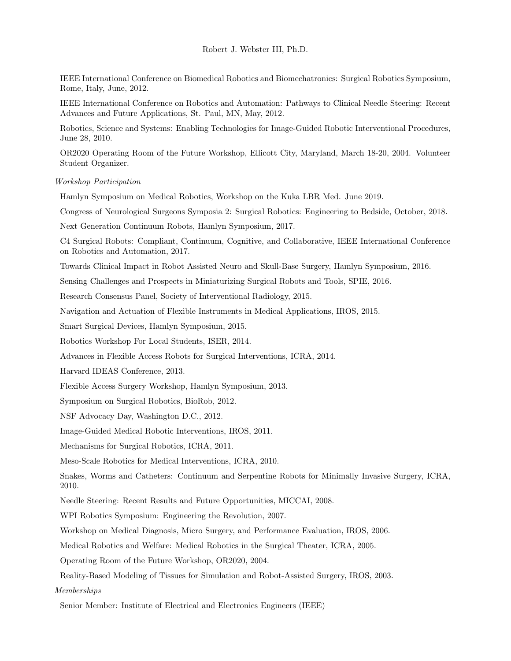IEEE International Conference on Biomedical Robotics and Biomechatronics: Surgical Robotics Symposium, Rome, Italy, June, 2012.

IEEE International Conference on Robotics and Automation: Pathways to Clinical Needle Steering: Recent Advances and Future Applications, St. Paul, MN, May, 2012.

Robotics, Science and Systems: Enabling Technologies for Image-Guided Robotic Interventional Procedures, June 28, 2010.

OR2020 Operating Room of the Future Workshop, Ellicott City, Maryland, March 18-20, 2004. Volunteer Student Organizer.

#### Workshop Participation

Hamlyn Symposium on Medical Robotics, Workshop on the Kuka LBR Med. June 2019.

Congress of Neurological Surgeons Symposia 2: Surgical Robotics: Engineering to Bedside, October, 2018.

Next Generation Continuum Robots, Hamlyn Symposium, 2017.

C4 Surgical Robots: Compliant, Continuum, Cognitive, and Collaborative, IEEE International Conference on Robotics and Automation, 2017.

Towards Clinical Impact in Robot Assisted Neuro and Skull-Base Surgery, Hamlyn Symposium, 2016.

Sensing Challenges and Prospects in Miniaturizing Surgical Robots and Tools, SPIE, 2016.

Research Consensus Panel, Society of Interventional Radiology, 2015.

Navigation and Actuation of Flexible Instruments in Medical Applications, IROS, 2015.

Smart Surgical Devices, Hamlyn Symposium, 2015.

Robotics Workshop For Local Students, ISER, 2014.

Advances in Flexible Access Robots for Surgical Interventions, ICRA, 2014.

Harvard IDEAS Conference, 2013.

Flexible Access Surgery Workshop, Hamlyn Symposium, 2013.

Symposium on Surgical Robotics, BioRob, 2012.

NSF Advocacy Day, Washington D.C., 2012.

Image-Guided Medical Robotic Interventions, IROS, 2011.

Mechanisms for Surgical Robotics, ICRA, 2011.

Meso-Scale Robotics for Medical Interventions, ICRA, 2010.

Snakes, Worms and Catheters: Continuum and Serpentine Robots for Minimally Invasive Surgery, ICRA, 2010.

Needle Steering: Recent Results and Future Opportunities, MICCAI, 2008.

WPI Robotics Symposium: Engineering the Revolution, 2007.

Workshop on Medical Diagnosis, Micro Surgery, and Performance Evaluation, IROS, 2006.

Medical Robotics and Welfare: Medical Robotics in the Surgical Theater, ICRA, 2005.

Operating Room of the Future Workshop, OR2020, 2004.

Reality-Based Modeling of Tissues for Simulation and Robot-Assisted Surgery, IROS, 2003.

#### Memberships

Senior Member: Institute of Electrical and Electronics Engineers (IEEE)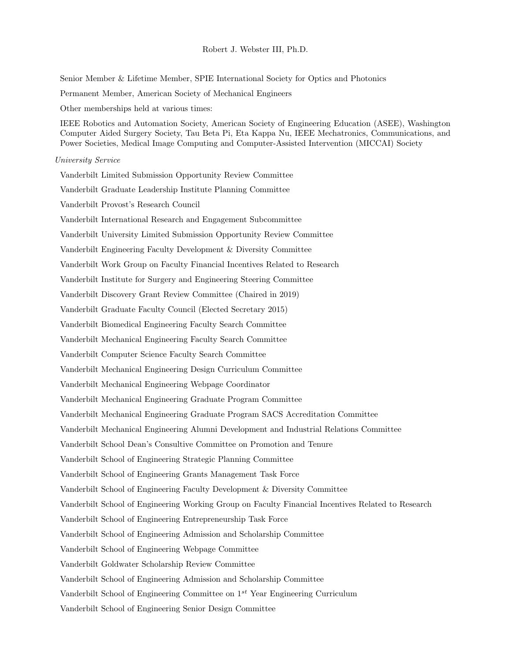Senior Member & Lifetime Member, SPIE International Society for Optics and Photonics

Permanent Member, American Society of Mechanical Engineers

Other memberships held at various times:

IEEE Robotics and Automation Society, American Society of Engineering Education (ASEE), Washington Computer Aided Surgery Society, Tau Beta Pi, Eta Kappa Nu, IEEE Mechatronics, Communications, and Power Societies, Medical Image Computing and Computer-Assisted Intervention (MICCAI) Society

#### University Service

Vanderbilt Limited Submission Opportunity Review Committee Vanderbilt Graduate Leadership Institute Planning Committee Vanderbilt Provost's Research Council Vanderbilt International Research and Engagement Subcommittee Vanderbilt University Limited Submission Opportunity Review Committee Vanderbilt Engineering Faculty Development & Diversity Committee Vanderbilt Work Group on Faculty Financial Incentives Related to Research Vanderbilt Institute for Surgery and Engineering Steering Committee Vanderbilt Discovery Grant Review Committee (Chaired in 2019) Vanderbilt Graduate Faculty Council (Elected Secretary 2015) Vanderbilt Biomedical Engineering Faculty Search Committee Vanderbilt Mechanical Engineering Faculty Search Committee Vanderbilt Computer Science Faculty Search Committee Vanderbilt Mechanical Engineering Design Curriculum Committee Vanderbilt Mechanical Engineering Webpage Coordinator Vanderbilt Mechanical Engineering Graduate Program Committee Vanderbilt Mechanical Engineering Graduate Program SACS Accreditation Committee Vanderbilt Mechanical Engineering Alumni Development and Industrial Relations Committee Vanderbilt School Dean's Consultive Committee on Promotion and Tenure Vanderbilt School of Engineering Strategic Planning Committee Vanderbilt School of Engineering Grants Management Task Force Vanderbilt School of Engineering Faculty Development & Diversity Committee Vanderbilt School of Engineering Working Group on Faculty Financial Incentives Related to Research Vanderbilt School of Engineering Entrepreneurship Task Force Vanderbilt School of Engineering Admission and Scholarship Committee Vanderbilt School of Engineering Webpage Committee Vanderbilt Goldwater Scholarship Review Committee Vanderbilt School of Engineering Admission and Scholarship Committee Vanderbilt School of Engineering Committee on  $1^{st}$  Year Engineering Curriculum Vanderbilt School of Engineering Senior Design Committee